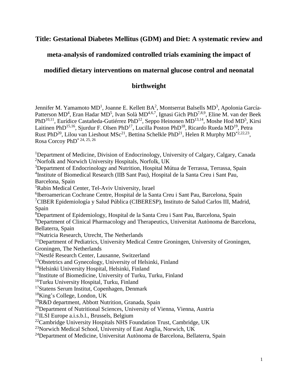# **Title: Gestational Diabetes Mellitus (GDM) and Diet: A systematic review and**

# **meta-analysis of randomized controlled trials examining the impact of**

# **modified dietary interventions on maternal glucose control and neonatal**

## **birthweight**

Jennifer M. Yamamoto MD<sup>1</sup>, Joanne E. Kellett BA<sup>2</sup>, Montserrat Balsells MD<sup>3</sup>, Apolonia García-Patterson MD<sup>4</sup>, Eran Hadar MD<sup>5</sup>, Ivan Solà MD<sup>4,6,7</sup>, Ignasi Gich PhD<sup>7,8,9</sup>, Eline M. van der Beek PhD<sup>10,11</sup>, Eurídice Castañeda-Gutiérrez PhD<sup>12</sup>, Seppo Heinonen MD<sup>13,14</sup>, Moshe Hod MD<sup>5</sup>, Kirsi Laitinen PhD<sup>15,16</sup>, Sjurdur F. Olsen PhD<sup>17</sup>, Lucilla Poston PhD<sup>18</sup>, Ricardo Rueda MD<sup>19</sup>, Petra Rust PhD<sup>20</sup>, Lilou van Lieshout MSc<sup>21</sup>, Bettina Schelkle PhD<sup>21</sup>, Helen R Murphy MD<sup>\*2,22,23</sup>, Rosa Corcoy PhD\* 24, 25, 26

<sup>1</sup>Department of Medicine, Division of Endocrinology, University of Calgary, Calgary, Canada <sup>2</sup>Norfolk and Norwich University Hospitals, Norfolk, UK

<sup>3</sup>Department of Endocrinology and Nutrition, Hospital Mútua de Terrassa, Terrassa, Spain 4 Institute of Biomedical Research (IIB Sant Pau), Hospital de la Santa Creu i Sant Pau, Barcelona, Spain

<sup>5</sup>Rabin Medical Center, Tel-Aviv University, Israel

6 Iberoamerican Cochrane Centre, Hospital de la Santa Creu i Sant Pau, Barcelona, Spain <sup>7</sup>CIBER Epidemiología y Salud Pública (CIBERESP), Instituto de Salud Carlos III, Madrid, Spain

<sup>8</sup>Department of Epidemiology, Hospital de la Santa Creu i Sant Pau, Barcelona, Spain <sup>9</sup>Department of Clinical Pharmacology and Therapeutics, Universitat Autònoma de Barcelona, Bellaterra, Spain

<sup>10</sup>Nutricia Research, Utrecht, The Netherlands

<sup>11</sup>Department of Pediatrics, University Medical Centre Groningen, University of Groningen, Groningen, The Netherlands

<sup>12</sup>Nestlé Research Center, Lausanne, Switzerland

<sup>13</sup>Obstetrics and Gynecology, University of Helsinki, Finland

<sup>14</sup>Helsinki University Hospital, Helsinki, Finland

<sup>15</sup>Institute of Biomedicine, University of Turku, Turku, Finland

<sup>16</sup>Turku University Hospital, Turku, Finland

<sup>17</sup>Statens Serum Institut, Copenhagen, Denmark

<sup>18</sup>King's College, London, UK

<sup>19</sup>R&D department, Abbott Nutrition, Granada, Spain

 $20$ Department of Nutritional Sciences, University of Vienna, Vienna, Austria

 $^{21}$ ILSI Europe a.i.s.b.l., Brussels, Belgium

 $22$ Cambridge University Hospitals NHS Foundation Trust, Cambridge, UK

<sup>23</sup>Norwich Medical School, University of East Anglia, Norwich, UK

<sup>24</sup>Department of Medicine, Universitat Autònoma de Barcelona, Bellaterra, Spain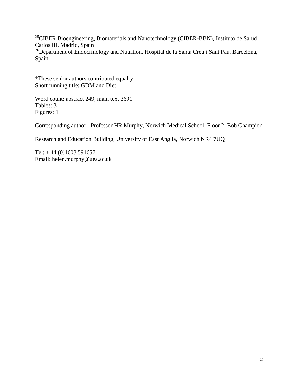<sup>25</sup>CIBER Bioengineering, Biomaterials and Nanotechnology (CIBER-BBN), Instituto de Salud Carlos III, Madrid, Spain <sup>26</sup>Department of Endocrinology and Nutrition, Hospital de la Santa Creu i Sant Pau, Barcelona, Spain

\*These senior authors contributed equally Short running title: GDM and Diet

Word count: abstract 249, main text 3691 Tables: 3 Figures: 1

Corresponding author: Professor HR Murphy, Norwich Medical School, Floor 2, Bob Champion

Research and Education Building, University of East Anglia, Norwich NR4 7UQ

Tel:  $+44(0)1603591657$ Email: helen.murphy@uea.ac.uk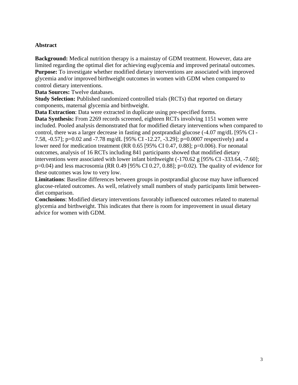### **Abstract**

**Background:** Medical nutrition therapy is a mainstay of GDM treatment. However, data are limited regarding the optimal diet for achieving euglycemia and improved perinatal outcomes. **Purpose:** To investigate whether modified dietary interventions are associated with improved glycemia and/or improved birthweight outcomes in women with GDM when compared to control dietary interventions.

**Data Sources:** Twelve databases.

**Study Selection:** Published randomized controlled trials (RCTs) that reported on dietary components, maternal glycemia and birthweight.

**Data Extraction**: Data were extracted in duplicate using pre-specified forms.

**Data Synthesis:** From 2269 records screened, eighteen RCTs involving 1151 women were included. Pooled analysis demonstrated that for modified dietary interventions when compared to control, there was a larger decrease in fasting and postprandial glucose (-4.07 mg/dL [95% CI - 7.58, -0.57]; p=0.02 and -7.78 mg/dL [95% CI -12.27, -3.29]; p=0.0007 respectively) and a lower need for medication treatment (RR 0.65 [95% CI 0.47, 0.88]; p=0.006). For neonatal outcomes, analysis of 16 RCTs including 841 participants showed that modified dietary interventions were associated with lower infant birthweight (-170.62 g [95% CI -333.64, -7.60];  $p=0.04$ ) and less macrosomia (RR 0.49 [95% CI 0.27, 0.88];  $p=0.02$ ). The quality of evidence for these outcomes was low to very low.

**Limitations**: Baseline differences between groups in postprandial glucose may have influenced glucose-related outcomes. As well, relatively small numbers of study participants limit betweendiet comparison.

**Conclusions**: Modified dietary interventions favorably influenced outcomes related to maternal glycemia and birthweight. This indicates that there is room for improvement in usual dietary advice for women with GDM.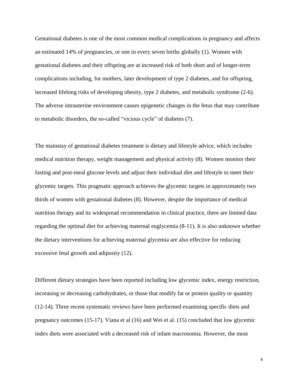Gestational diabetes is one of the most common medical complications in pregnancy and affects an estimated 14% of pregnancies, or one in every seven births globally (1). Women with gestational diabetes and their offspring are at increased risk of both short and of longer-term complications including, for mothers, later development of type 2 diabetes, and for offspring, increased lifelong risks of developing obesity, type 2 diabetes, and metabolic syndrome (2-6). The adverse intrauterine environment causes epigenetic changes in the fetus that may contribute to metabolic disorders, the so-called "vicious cycle" of diabetes (7).

The mainstay of gestational diabetes treatment is dietary and lifestyle advice, which includes medical nutrition therapy, weight management and physical activity (8). Women monitor their fasting and post-meal glucose levels and adjust their individual diet and lifestyle to meet their glycemic targets. This pragmatic approach achieves the glycemic targets in approximately two thirds of women with gestational diabetes (8). However, despite the importance of medical nutrition therapy and its widespread recommendation in clinical practice, there are limited data regarding the optimal diet for achieving maternal euglycemia (8-11). It is also unknown whether the dietary interventions for achieving maternal glycemia are also effective for reducing excessive fetal growth and adiposity (12).

Different dietary strategies have been reported including low glycemic index, energy restriction, increasing or decreasing carbohydrates, or those that modify fat or protein quality or quantity (12-14). Three recent systematic reviews have been performed examining specific diets and pregnancy outcomes (15-17). Viana et al (16) and Wei et al. (15) concluded that low glycemic index diets were associated with a decreased risk of infant macrosomia. However, the most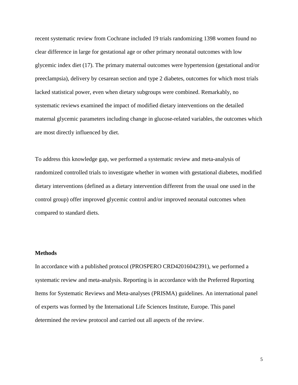recent systematic review from Cochrane included 19 trials randomizing 1398 women found no clear difference in large for gestational age or other primary neonatal outcomes with low glycemic index diet (17). The primary maternal outcomes were hypertension (gestational and/or preeclampsia), delivery by cesarean section and type 2 diabetes, outcomes for which most trials lacked statistical power, even when dietary subgroups were combined. Remarkably, no systematic reviews examined the impact of modified dietary interventions on the detailed maternal glycemic parameters including change in glucose-related variables, the outcomes which are most directly influenced by diet.

To address this knowledge gap, we performed a systematic review and meta-analysis of randomized controlled trials to investigate whether in women with gestational diabetes, modified dietary interventions (defined as a dietary intervention different from the usual one used in the control group) offer improved glycemic control and/or improved neonatal outcomes when compared to standard diets.

#### **Methods**

In accordance with a published protocol (PROSPERO CRD42016042391), we performed a systematic review and meta-analysis. Reporting is in accordance with the Preferred Reporting Items for Systematic Reviews and Meta-analyses (PRISMA) guidelines. An international panel of experts was formed by the International Life Sciences Institute, Europe. This panel determined the review protocol and carried out all aspects of the review.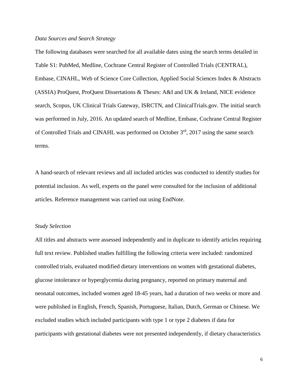#### *Data Sources and Search Strategy*

The following databases were searched for all available dates using the search terms detailed in Table S1: PubMed, Medline, Cochrane Central Register of Controlled Trials (CENTRAL), Embase, CINAHL, Web of Science Core Collection, Applied Social Sciences Index & Abstracts (ASSIA) ProQuest, ProQuest Dissertations & Theses: A&I and UK & Ireland, NICE evidence search, Scopus, UK Clinical Trials Gateway, ISRCTN, and ClinicalTrials.gov. The initial search was performed in July, 2016. An updated search of Medline, Embase, Cochrane Central Register of Controlled Trials and CINAHL was performed on October 3rd, 2017 using the same search terms.

A hand-search of relevant reviews and all included articles was conducted to identify studies for potential inclusion. As well, experts on the panel were consulted for the inclusion of additional articles. Reference management was carried out using EndNote.

#### *Study Selection*

All titles and abstracts were assessed independently and in duplicate to identify articles requiring full text review. Published studies fulfilling the following criteria were included: randomized controlled trials, evaluated modified dietary interventions on women with gestational diabetes, glucose intolerance or hyperglycemia during pregnancy, reported on primary maternal and neonatal outcomes, included women aged 18-45 years, had a duration of two weeks or more and were published in English, French, Spanish, Portuguese, Italian, Dutch, German or Chinese. We excluded studies which included participants with type 1 or type 2 diabetes if data for participants with gestational diabetes were not presented independently, if dietary characteristics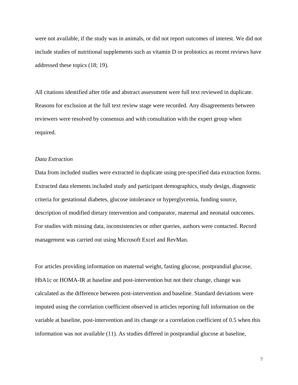were not available, if the study was in animals, or did not report outcomes of interest. We did not include studies of nutritional supplements such as vitamin D or probiotics as recent reviews have addressed these topics (18; 19).

All citations identified after title and abstract assessment were full text reviewed in duplicate. Reasons for exclusion at the full text review stage were recorded. Any disagreements between reviewers were resolved by consensus and with consultation with the expert group when required.

#### *Data Extraction*

Data from included studies were extracted in duplicate using pre-specified data extraction forms. Extracted data elements included study and participant demographics, study design, diagnostic criteria for gestational diabetes, glucose intolerance or hyperglycemia, funding source, description of modified dietary intervention and comparator, maternal and neonatal outcomes. For studies with missing data, inconsistencies or other queries, authors were contacted. Record management was carried out using Microsoft Excel and RevMan.

For articles providing information on maternal weight, fasting glucose, postprandial glucose, HbA1c or HOMA-IR at baseline and post-intervention but not their change, change was calculated as the difference between post-intervention and baseline. Standard deviations were imputed using the correlation coefficient observed in articles reporting full information on the variable at baseline, post-intervention and its change or a correlation coefficient of 0.5 when this information was not available (11). As studies differed in postprandial glucose at baseline,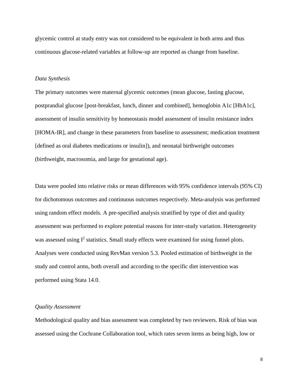glycemic control at study entry was not considered to be equivalent in both arms and thus continuous glucose-related variables at follow-up are reported as change from baseline.

#### *Data Synthesis*

The primary outcomes were maternal glycemic outcomes (mean glucose, fasting glucose, postprandial glucose [post-breakfast, lunch, dinner and combined], hemoglobin A1c [HbA1c], assessment of insulin sensitivity by homeostasis model assessment of insulin resistance index [HOMA-IR], and change in these parameters from baseline to assessment; medication treatment [defined as oral diabetes medications or insulin]), and neonatal birthweight outcomes (birthweight, macrosomia, and large for gestational age).

Data were pooled into relative risks or mean differences with 95% confidence intervals (95% CI) for dichotomous outcomes and continuous outcomes respectively. Meta-analysis was performed using random effect models. A pre-specified analysis stratified by type of diet and quality assessment was performed to explore potential reasons for inter-study variation. Heterogeneity was assessed using  $I^2$  statistics. Small study effects were examined for using funnel plots. Analyses were conducted using RevMan version 5.3. Pooled estimation of birthweight in the study and control arms, both overall and according to the specific diet intervention was performed using Stata 14.0.

#### *Quality Assessment*

Methodological quality and bias assessment was completed by two reviewers. Risk of bias was assessed using the Cochrane Collaboration tool, which rates seven items as being high, low or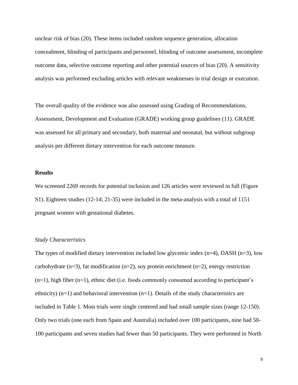unclear risk of bias (20). These items included random sequence generation, allocation concealment, blinding of participants and personnel, blinding of outcome assessment, incomplete outcome data, selective outcome reporting and other potential sources of bias (20). A sensitivity analysis was performed excluding articles with relevant weaknesses in trial design or execution.

The overall quality of the evidence was also assessed using Grading of Recommendations, Assessment, Development and Evaluation (GRADE) working group guidelines (11). GRADE was assessed for all primary and secondary, both maternal and neonatal, but without subgroup analysis per different dietary intervention for each outcome measure.

#### **Results**

We screened 2269 records for potential inclusion and 126 articles were reviewed in full (Figure S1). Eighteen studies (12-14; 21-35) were included in the meta-analysis with a total of 1151 pregnant women with gestational diabetes.

#### *Study Characteristics*

The types of modified dietary intervention included low glycemic index  $(n=4)$ , DASH  $(n=3)$ , low carbohydrate (n=3), fat modification (n=2), soy protein enrichment (n=2), energy restriction  $(n=1)$ , high fiber  $(n=1)$ , ethnic diet (i.e. foods commonly consumed according to participant's ethnicity)  $(n=1)$  and behavioral intervention  $(n=1)$ . Details of the study characteristics are included in Table 1. Most trials were single centered and had small sample sizes (range 12-150). Only two trials (one each from Spain and Australia) included over 100 participants, nine had 50- 100 participants and seven studies had fewer than 50 participants. They were performed in North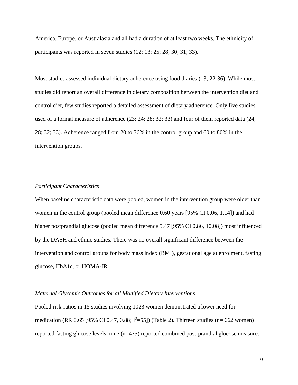America, Europe, or Australasia and all had a duration of at least two weeks. The ethnicity of participants was reported in seven studies (12; 13; 25; 28; 30; 31; 33).

Most studies assessed individual dietary adherence using food diaries (13; 22-36). While most studies did report an overall difference in dietary composition between the intervention diet and control diet, few studies reported a detailed assessment of dietary adherence. Only five studies used of a formal measure of adherence (23; 24; 28; 32; 33) and four of them reported data (24; 28; 32; 33). Adherence ranged from 20 to 76% in the control group and 60 to 80% in the intervention groups.

#### *Participant Characteristics*

When baseline characteristic data were pooled, women in the intervention group were older than women in the control group (pooled mean difference 0.60 years [95% CI 0.06, 1.14]) and had higher postprandial glucose (pooled mean difference 5.47 [95% CI 0.86, 10.08]) most influenced by the DASH and ethnic studies. There was no overall significant difference between the intervention and control groups for body mass index (BMI), gestational age at enrolment, fasting glucose, HbA1c, or HOMA-IR.

#### *Maternal Glycemic Outcomes for all Modified Dietary Interventions*

Pooled risk-ratios in 15 studies involving 1023 women demonstrated a lower need for medication (RR 0.65 [95% CI 0.47, 0.88;  $I^2$ =55]) (Table 2). Thirteen studies (n= 662 women) reported fasting glucose levels, nine (n=475) reported combined post-prandial glucose measures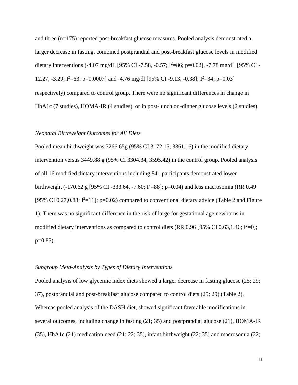and three (n=175) reported post-breakfast glucose measures. Pooled analysis demonstrated a larger decrease in fasting, combined postprandial and post-breakfast glucose levels in modified dietary interventions (-4.07 mg/dL [95% CI -7.58, -0.57;  $I^2$ =86; p=0.02], -7.78 mg/dL [95% CI -12.27, -3.29;  $I^2$ =63; p=0.0007] and -4.76 mg/dl [95% CI -9.13, -0.38];  $I^2$ =34; p=0.03] respectively) compared to control group. There were no significant differences in change in HbA1c (7 studies), HOMA-IR (4 studies), or in post-lunch or -dinner glucose levels (2 studies).

#### *Neonatal Birthweight Outcomes for All Diets*

Pooled mean birthweight was 3266.65g (95% CI 3172.15, 3361.16) in the modified dietary intervention versus 3449.88 g (95% CI 3304.34, 3595.42) in the control group. Pooled analysis of all 16 modified dietary interventions including 841 participants demonstrated lower birthweight (-170.62 g [95% CI -333.64, -7.60;  $I^2$ =88]; p=0.04) and less macrosomia (RR 0.49 [95% CI 0.27,0.88;  $I^2=11$ ]; p=0.02) compared to conventional dietary advice (Table 2 and Figure 1). There was no significant difference in the risk of large for gestational age newborns in modified dietary interventions as compared to control diets (RR 0.96 [95% CI 0.63,1.46;  $I^2=0$ ]; p=0.85).

#### *Subgroup Meta-Analysis by Types of Dietary Interventions*

Pooled analysis of low glycemic index diets showed a larger decrease in fasting glucose (25; 29; 37), postprandial and post-breakfast glucose compared to control diets (25; 29) (Table 2). Whereas pooled analysis of the DASH diet, showed significant favorable modifications in several outcomes, including change in fasting (21; 35) and postprandial glucose (21), HOMA-IR (35), HbA1c (21) medication need (21; 22; 35), infant birthweight (22; 35) and macrosomia (22;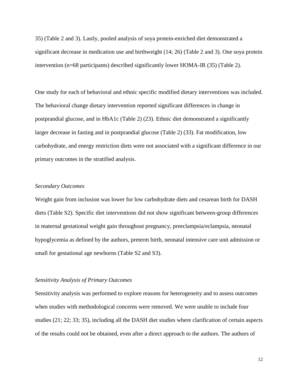35) (Table 2 and 3). Lastly, pooled analysis of soya protein-enriched diet demonstrated a significant decrease in medication use and birthweight (14; 26) (Table 2 and 3). One soya protein intervention (n=68 participants) described significantly lower HOMA-IR (35) (Table 2).

One study for each of behavioral and ethnic specific modified dietary interventions was included. The behavioral change dietary intervention reported significant differences in change in postprandial glucose, and in HbA1c (Table 2) (23). Ethnic diet demonstrated a significantly larger decrease in fasting and in postprandial glucose (Table 2) (33). Fat modification, low carbohydrate, and energy restriction diets were not associated with a significant difference in our primary outcomes in the stratified analysis.

#### *Secondary Outcomes*

Weight gain from inclusion was lower for low carbohydrate diets and cesarean birth for DASH diets (Table S2). Specific diet interventions did not show significant between-group differences in maternal gestational weight gain throughout pregnancy, preeclampsia/eclampsia, neonatal hypoglycemia as defined by the authors, preterm birth, neonatal intensive care unit admission or small for gestational age newborns (Table S2 and S3).

#### *Sensitivity Analysis of Primary Outcomes*

Sensitivity analysis was performed to explore reasons for heterogeneity and to assess outcomes when studies with methodological concerns were removed. We were unable to include four studies (21; 22; 33; 35), including all the DASH diet studies where clarification of certain aspects of the results could not be obtained, even after a direct approach to the authors. The authors of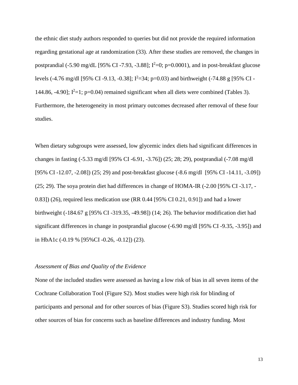the ethnic diet study authors responded to queries but did not provide the required information regarding gestational age at randomization (33). After these studies are removed, the changes in postprandial (-5.90 mg/dL [95% CI-7.93, -3.88];  $I^2=0$ ; p=0.0001), and in post-breakfast glucose levels (-4.76 mg/dl [95% CI -9.13, -0.38];  $I^2=34$ ; p=0.03) and birthweight (-74.88 g [95% CI -144.86, -4.90];  $I^2=1$ ; p=0.04) remained significant when all diets were combined (Tables 3). Furthermore, the heterogeneity in most primary outcomes decreased after removal of these four studies.

When dietary subgroups were assessed, low glycemic index diets had significant differences in changes in fasting (-5.33 mg/dl [95% CI -6.91, -3.76]) (25; 28; 29), postprandial (-7.08 mg/dl [95% CI -12.07, -2.08]) (25; 29) and post-breakfast glucose (-8.6 mg/dl [95% CI -14.11, -3.09]) (25; 29). The soya protein diet had differences in change of HOMA-IR (-2.00 [95% CI -3.17, - 0.83]) (26), required less medication use (RR 0.44 [95% CI 0.21, 0.91]) and had a lower birthweight (-184.67 g [95% CI -319.35, -49.98]) (14; 26). The behavior modification diet had significant differences in change in postprandial glucose (-6.90 mg/dl [95% CI -9.35, -3.95]) and in HbA1c (-0.19 % [95%CI -0.26, -0.12]) (23).

#### *Assessment of Bias and Quality of the Evidence*

None of the included studies were assessed as having a low risk of bias in all seven items of the Cochrane Collaboration Tool (Figure S2). Most studies were high risk for blinding of participants and personal and for other sources of bias (Figure S3). Studies scored high risk for other sources of bias for concerns such as baseline differences and industry funding. Most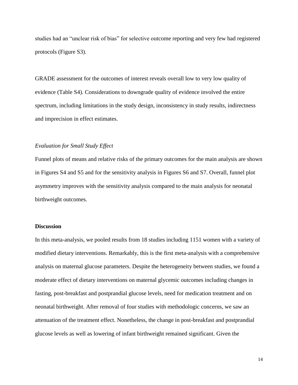studies had an "unclear risk of bias" for selective outcome reporting and very few had registered protocols (Figure S3).

GRADE assessment for the outcomes of interest reveals overall low to very low quality of evidence (Table S4). Considerations to downgrade quality of evidence involved the entire spectrum, including limitations in the study design, inconsistency in study results, indirectness and imprecision in effect estimates.

#### *Evaluation for Small Study Effect*

Funnel plots of means and relative risks of the primary outcomes for the main analysis are shown in Figures S4 and S5 and for the sensitivity analysis in Figures S6 and S7. Overall, funnel plot asymmetry improves with the sensitivity analysis compared to the main analysis for neonatal birthweight outcomes.

#### **Discussion**

In this meta-analysis, we pooled results from 18 studies including 1151 women with a variety of modified dietary interventions. Remarkably, this is the first meta-analysis with a comprehensive analysis on maternal glucose parameters. Despite the heterogeneity between studies, we found a moderate effect of dietary interventions on maternal glycemic outcomes including changes in fasting, post-breakfast and postprandial glucose levels, need for medication treatment and on neonatal birthweight. After removal of four studies with methodologic concerns, we saw an attenuation of the treatment effect. Nonetheless, the change in post-breakfast and postprandial glucose levels as well as lowering of infant birthweight remained significant. Given the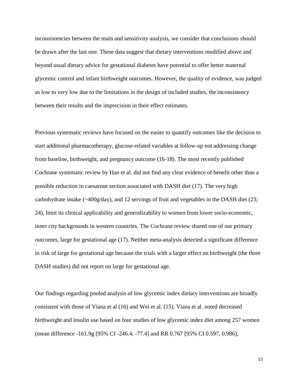inconsistencies between the main and sensitivity analysis, we consider that conclusions should be drawn after the last one. These data suggest that dietary interventions modified above and beyond usual dietary advice for gestational diabetes have potential to offer better maternal glycemic control and infant birthweight outcomes. However, the quality of evidence, was judged as low to very low due to the limitations in the design of included studies, the inconsistency between their results and the imprecision in their effect estimates.

Previous systematic reviews have focused on the easier to quantify outcomes like the decision to start additional pharmacotherapy, glucose-related variables at follow-up not addressing change from baseline, birthweight, and pregnancy outcome (16-18). The most recently published Cochrane systematic review by Han et al. did not find any clear evidence of benefit other than a possible reduction in caesarean section associated with DASH diet (17). The very high carbohydrate intake (~400g/day), and 12 servings of fruit and vegetables in the DASH diet (23; 24), limit its clinical applicability and generalizability to women from lower socio-economic, inner city backgrounds in western countries. The Cochrane review shared one of our primary outcomes, large for gestational age (17). Neither meta-analysis detected a significant difference in risk of large for gestational age because the trials with a larger effect on birthweight (the three DASH studies) did not report on large for gestational age.

Our findings regarding pooled analysis of low glycemic index dietary interventions are broadly consistent with those of Viana et al (16) and Wei et al. (15). Viana et al. noted decreased birthweight and insulin use based on four studies of low glycemic index diet among 257 women (mean difference -161.9g [95% CI -246.4, -77.4] and RR 0.767 [95% CI 0.597, 0.986],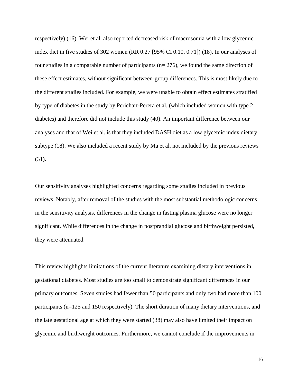respectively) (16). Wei et al. also reported decreased risk of macrosomia with a low glycemic index diet in five studies of 302 women (RR 0.27 [95% CI 0.10, 0.71]) (18). In our analyses of four studies in a comparable number of participants ( $n= 276$ ), we found the same direction of these effect estimates, without significant between-group differences. This is most likely due to the different studies included. For example, we were unable to obtain effect estimates stratified by type of diabetes in the study by Perichart-Perera et al. (which included women with type 2 diabetes) and therefore did not include this study (40). An important difference between our analyses and that of Wei et al. is that they included DASH diet as a low glycemic index dietary subtype (18). We also included a recent study by Ma et al. not included by the previous reviews (31).

Our sensitivity analyses highlighted concerns regarding some studies included in previous reviews. Notably, after removal of the studies with the most substantial methodologic concerns in the sensitivity analysis, differences in the change in fasting plasma glucose were no longer significant. While differences in the change in postprandial glucose and birthweight persisted, they were attenuated.

This review highlights limitations of the current literature examining dietary interventions in gestational diabetes. Most studies are too small to demonstrate significant differences in our primary outcomes. Seven studies had fewer than 50 participants and only two had more than 100 participants (n=125 and 150 respectively). The short duration of many dietary interventions, and the late gestational age at which they were started (38) may also have limited their impact on glycemic and birthweight outcomes. Furthermore, we cannot conclude if the improvements in

16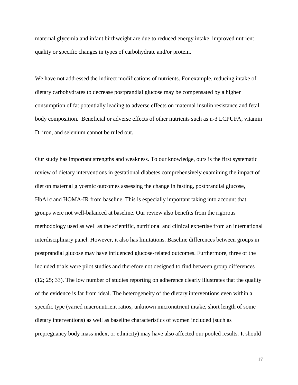maternal glycemia and infant birthweight are due to reduced energy intake, improved nutrient quality or specific changes in types of carbohydrate and/or protein.

We have not addressed the indirect modifications of nutrients. For example, reducing intake of dietary carbohydrates to decrease postprandial glucose may be compensated by a higher consumption of fat potentially leading to adverse effects on maternal insulin resistance and fetal body composition. Beneficial or adverse effects of other nutrients such as n-3 LCPUFA, vitamin D, iron, and selenium cannot be ruled out.

Our study has important strengths and weakness. To our knowledge, ours is the first systematic review of dietary interventions in gestational diabetes comprehensively examining the impact of diet on maternal glycemic outcomes assessing the change in fasting, postprandial glucose, HbA1c and HOMA-IR from baseline. This is especially important taking into account that groups were not well-balanced at baseline. Our review also benefits from the rigorous methodology used as well as the scientific, nutritional and clinical expertise from an international interdisciplinary panel. However, it also has limitations. Baseline differences between groups in postprandial glucose may have influenced glucose-related outcomes. Furthermore, three of the included trials were pilot studies and therefore not designed to find between group differences (12; 25; 33). The low number of studies reporting on adherence clearly illustrates that the quality of the evidence is far from ideal. The heterogeneity of the dietary interventions even within a specific type (varied macronutrient ratios, unknown micronutrient intake, short length of some dietary interventions) as well as baseline characteristics of women included (such as prepregnancy body mass index, or ethnicity) may have also affected our pooled results. It should

17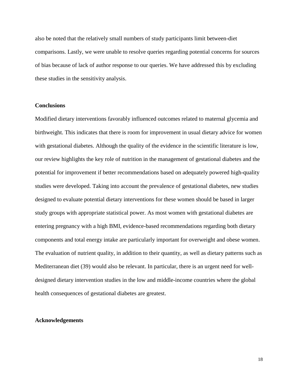also be noted that the relatively small numbers of study participants limit between-diet comparisons. Lastly, we were unable to resolve queries regarding potential concerns for sources of bias because of lack of author response to our queries. We have addressed this by excluding these studies in the sensitivity analysis.

#### **Conclusions**

Modified dietary interventions favorably influenced outcomes related to maternal glycemia and birthweight. This indicates that there is room for improvement in usual dietary advice for women with gestational diabetes. Although the quality of the evidence in the scientific literature is low, our review highlights the key role of nutrition in the management of gestational diabetes and the potential for improvement if better recommendations based on adequately powered high-quality studies were developed. Taking into account the prevalence of gestational diabetes, new studies designed to evaluate potential dietary interventions for these women should be based in larger study groups with appropriate statistical power. As most women with gestational diabetes are entering pregnancy with a high BMI, evidence-based recommendations regarding both dietary components and total energy intake are particularly important for overweight and obese women. The evaluation of nutrient quality, in addition to their quantity, as well as dietary patterns such as Mediterranean diet (39) would also be relevant. In particular, there is an urgent need for welldesigned dietary intervention studies in the low and middle-income countries where the global health consequences of gestational diabetes are greatest.

#### **Acknowledgements**

18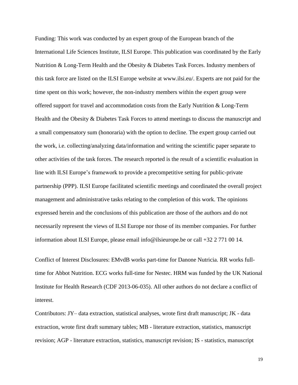Funding: This work was conducted by an expert group of the European branch of the International Life Sciences Institute, ILSI Europe. This publication was coordinated by the Early Nutrition & Long-Term Health and the Obesity & Diabetes Task Forces. Industry members of this task force are listed on the ILSI Europe website at [www.ilsi.eu/](http://www.ilsi.eu/). Experts are not paid for the time spent on this work; however, the non-industry members within the expert group were offered support for travel and accommodation costs from the Early Nutrition & Long-Term Health and the Obesity & Diabetes Task Forces to attend meetings to discuss the manuscript and a small compensatory sum (honoraria) with the option to decline. The expert group carried out the work, i.e. collecting/analyzing data/information and writing the scientific paper separate to other activities of the task forces. The research reported is the result of a scientific evaluation in line with ILSI Europe's framework to provide a precompetitive setting for public-private partnership (PPP). ILSI Europe facilitated scientific meetings and coordinated the overall project management and administrative tasks relating to the completion of this work. The opinions expressed herein and the conclusions of this publication are those of the authors and do not necessarily represent the views of ILSI Europe nor those of its member companies. For further information about ILSI Europe, please email [info@ilsieurope.be](mailto:info@ilsieurope.be) or call +32 2 771 00 14.

Conflict of Interest Disclosures: EMvdB works part-time for Danone Nutricia. RR works fulltime for Abbot Nutrition. ECG works full-time for Nestec. HRM was funded by the UK National Institute for Health Research (CDF 2013-06-035). All other authors do not declare a conflict of interest.

Contributors: JY– data extraction, statistical analyses, wrote first draft manuscript; JK - data extraction, wrote first draft summary tables; MB - literature extraction, statistics, manuscript revision; AGP - literature extraction, statistics, manuscript revision; IS - statistics, manuscript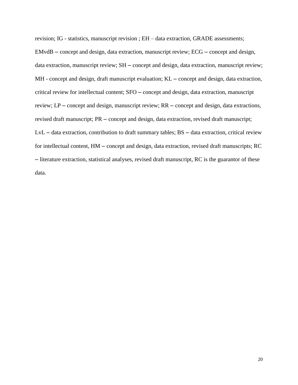revision; IG - statistics, manuscript revision ; EH – data extraction, GRADE assessments; EMvdB – concept and design, data extraction, manuscript review; ECG – concept and design, data extraction, manuscript review; SH – concept and design, data extraction, manuscript review; MH - concept and design, draft manuscript evaluation; KL – concept and design, data extraction, critical review for intellectual content; SFO – concept and design, data extraction, manuscript review; LP – concept and design, manuscript review; RR – concept and design, data extractions, revised draft manuscript; PR – concept and design, data extraction, revised draft manuscript; LvL – data extraction, contribution to draft summary tables; BS – data extraction, critical review for intellectual content, HM – concept and design, data extraction, revised draft manuscripts; RC – literature extraction, statistical analyses, revised draft manuscript, RC is the guarantor of these data.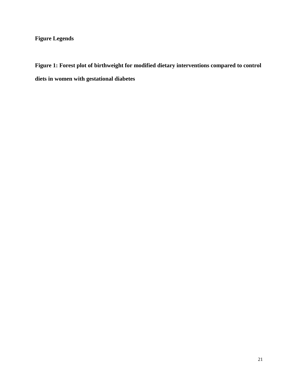# **Figure Legends**

**Figure 1: Forest plot of birthweight for modified dietary interventions compared to control diets in women with gestational diabetes**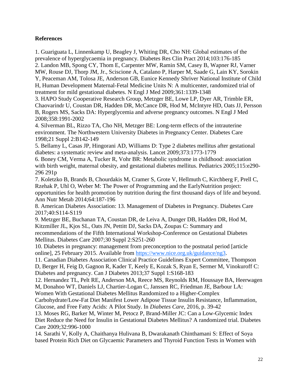### **References**

1. Guariguata L, Linnenkamp U, Beagley J, Whiting DR, Cho NH: Global estimates of the prevalence of hyperglycaemia in pregnancy. Diabetes Res Clin Pract 2014;103:176-185 2. Landon MB, Spong CY, Thom E, Carpenter MW, Ramin SM, Casey B, Wapner RJ, Varner MW, Rouse DJ, Thorp JM, Jr., Sciscione A, Catalano P, Harper M, Saade G, Lain KY, Sorokin Y, Peaceman AM, Tolosa JE, Anderson GB, Eunice Kennedy Shriver National Institute of Child H, Human Development Maternal-Fetal Medicine Units N: A multicenter, randomized trial of treatment for mild gestational diabetes. N Engl J Med 2009;361:1339-1348

3. HAPO Study Cooperative Research Group, Metzger BE, Lowe LP, Dyer AR, Trimble ER, Chaovarindr U, Coustan DR, Hadden DR, McCance DR, Hod M, McIntyre HD, Oats JJ, Persson B, Rogers MS, Sacks DA: Hyperglycemia and adverse pregnancy outcomes. N Engl J Med 2008;358:1991-2002

4. Silverman BL, Rizzo TA, Cho NH, Metzger BE: Long-term effects of the intrauterine environment. The Northwestern University Diabetes in Pregnancy Center. Diabetes Care 1998;21 Suppl 2:B142-149

5. Bellamy L, Casas JP, Hingorani AD, Williams D: Type 2 diabetes mellitus after gestational diabetes: a systematic review and meta-analysis. Lancet 2009;373:1773-1779

6. Boney CM, Verma A, Tucker R, Vohr BR: Metabolic syndrome in childhood: association with birth weight, maternal obesity, and gestational diabetes mellitus. Pediatrics 2005;115:e290- 296 291p

7. Koletzko B, Brands B, Chourdakis M, Cramer S, Grote V, Hellmuth C, Kirchberg F, Prell C, Rzehak P, Uhl O, Weber M: The Power of Programming and the EarlyNutrition project: opportunities for health promotion by nutrition during the first thousand days of life and beyond. Ann Nutr Metab 2014;64:187-196

8. American Diabetes Association: 13. Management of Diabetes in Pregnancy. Diabetes Care 2017;40:S114-S119

9. Metzger BE, Buchanan TA, Coustan DR, de Leiva A, Dunger DB, Hadden DR, Hod M, Kitzmiller JL, Kjos SL, Oats JN, Pettitt DJ, Sacks DA, Zoupas C: Summary and recommendations of the Fifth International Workshop-Conference on Gestational Diabetes Mellitus. Diabetes Care 2007;30 Suppl 2:S251-260

10. Diabetes in pregnancy: management from preconception to the postnatal period [article online], 25 February 2015. Available from [https://www.nice.org.uk/guidance/ng3.](https://www.nice.org.uk/guidance/ng3)

11. Canadian Diabetes Association Clinical Practice Guidelines Expert Committee, Thompson

D, Berger H, Feig D, Gagnon R, Kader T, Keely E, Kozak S, Ryan E, Sermer M, Vinokuroff C: Diabetes and pregnancy. Can J Diabetes 2013;37 Suppl 1:S168-183

12. Hernandez TL, Pelt RE, Anderson MA, Reece MS, Reynolds RM, Houssaye BA, Heerwagen

M, Donahoo WT, Daniels LJ, Chartier-Logan C, Janssen RC, Friedman JE, Barbour LA:

Women With Gestational Diabetes Mellitus Randomized to a Higher-Complex

Carbohydrate/Low-Fat Diet Manifest Lower Adipose Tissue Insulin Resistance, Inflammation, Glucose, and Free Fatty Acids: A Pilot Study. In *Diabetes Care*, 2016, p. 39-42

13. Moses RG, Barker M, Winter M, Petocz P, Brand-Miller JC: Can a Low-Glycemic Index Diet Reduce the Need for Insulin in Gestational Diabetes Mellitus? A randomized trial. Diabetes Care 2009;32:996-1000

14. Sarathi V, Kolly A, Chaithanya Hulivana B, Dwarakanath Chinthamani S: Effect of Soya based Protein Rich Diet on Glycaemic Parameters and Thyroid Function Tests in Women with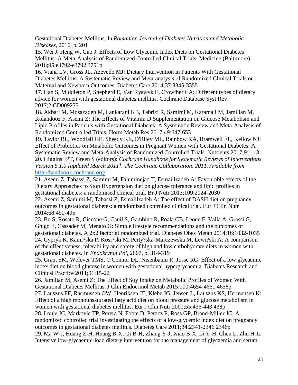Gestational Diabetes Mellitus. In *Romanian Journal of Diabetes Nutrition and Metabolic Diseases*, 2016, p. 201

15. Wei J, Heng W, Gao J: Effects of Low Glycemic Index Diets on Gestational Diabetes Mellitus: A Meta-Analysis of Randomized Controlled Clinical Trials. Medicine (Baltimore) 2016;95:e3792-e3792 3791p

16. Viana LV, Gross JL, Azevedo MJ: Dietary Intervention in Patients With Gestational Diabetes Mellitus: A Systematic Review and Meta-analysis of Randomized Clinical Trials on Maternal and Newborn Outcomes. Diabetes Care 2014;37:3345-3355

17. Han S, Middleton P, Shepherd E, Van Ryswyk E, Crowther CA: Different types of dietary advice for women with gestational diabetes mellitus. Cochrane Database Syst Rev 2017;2:CD009275

18. Akbari M, Mosazadeh M, Lankarani KB, Tabrizi R, Samimi M, Karamali M, Jamilian M, Kolahdooz F, Asemi Z: The Effects of Vitamin D Supplementation on Glucose Metabolism and Lipid Profiles in Patients with Gestational Diabetes: A Systematic Review and Meta-Analysis of Randomized Controlled Trials. Horm Metab Res 2017;49:647-653

19. Taylor BL, Woodfall GE, Sheedy KE, O'Riley ML, Rainbow KA, Bramwell EL, Kellow NJ: Effect of Probiotics on Metabolic Outcomes in Pregnant Women with Gestational Diabetes: A Systematic Review and Meta-Analysis of Randomized Controlled Trials. Nutrients 2017;9:1-13 20. Higgins JPT, Green S (editors): *Cochrane Handbook for Systematic Reviews of Interventions Version 5.1.0 [updated March 2011]. The Cochrane Collaboration, 2011. Available from*  <http://handbook.cochrane.org/>*.*

21. Asemi Z, Tabassi Z, Samimi M, Fahiminejad T, Esmaillzadeh A: Favourable effects of the Dietary Approaches to Stop Hypertension diet on glucose tolerance and lipid profiles in gestational diabetes: a randomised clinical trial. Br J Nutr 2013;109:2024-2030

22. Asemi Z, Samimi M, Tabassi Z, Esmaillzadeh A: The effect of DASH diet on pregnancy outcomes in gestational diabetes: a randomized controlled clinical trial. Eur J Clin Nutr 2014;68:490-495

23. Bo S, Rosato R, Ciccone G, Canil S, Gambino R, Poala CB, Leone F, Valla A, Grassi G, Ghigo E, Cassader M, Menato G: Simple lifestyle recommendations and the outcomes of gestational diabetes. A 2x2 factorial randomized trial. Diabetes Obes Metab 2014;16:1032-1035 24. Cypryk K, Kami?ska P, Kosi?ski M, Perty?ska-Marczewska M, Lewi?ski A: A comparison of the effectiveness, tolerability and safety of high and low carbohydrate diets in women with gestational diabetes. In *Endokrynol Pol*, 2007, p. 314-319

25. Grant SM, Wolever TMS, O'Connor DL, Nisenbaum R, Josse RG: Effect of a low glycaemic index diet on blood glucose in women with gestational hyperglycaemia. Diabetes Research and Clinical Practice 2011;91:15-22

26. Jamilian M, Asemi Z: The Effect of Soy Intake on Metabolic Profiles of Women With Gestational Diabetes Mellitus. J Clin Endocrinol Metab 2015;100:4654-4661 4658p

27. Lauszus FF, Rasmussen OW, Henriksen JE, Klebe JG, Jensen L, Lauszus KS, Hermansen K: Effect of a high monounsaturated fatty acid diet on blood pressure and glucose metabolism in women with gestational diabetes mellitus. Eur J Clin Nutr 2001;55:436-443 438p

28. Louie JC, Markovic TP, Perera N, Foote D, Petocz P, Ross GP, Brand-Miller JC: A randomized controlled trial investigating the effects of a low-glycemic index diet on pregnancy outcomes in gestational diabetes mellitus. Diabetes Care 2011;34:2341-2346 2346p 29. Ma W-J, Huang Z-H, Huang B-X, Qi B-H, Zhang Y-J, Xiao B-X, Li Y-H, Chen L, Zhu H-L: Intensive low-glycaemic-load dietary intervention for the management of glycaemia and serum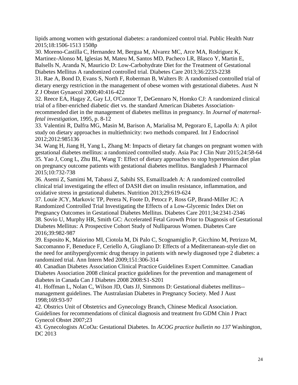lipids among women with gestational diabetes: a randomized control trial. Public Health Nutr 2015;18:1506-1513 1508p

30. Moreno-Castilla C, Hernandez M, Bergua M, Alvarez MC, Arce MA, Rodriguez K, Martinez-Alonso M, Iglesias M, Mateu M, Santos MD, Pacheco LR, Blasco Y, Martin E, Balsells N, Aranda N, Mauricio D: Low-Carbohydrate Diet for the Treatment of Gestational Diabetes Mellitus A randomized controlled trial. Diabetes Care 2013;36:2233-2238

31. Rae A, Bond D, Evans S, North F, Roberman B, Walters B: A randomised controlled trial of dietary energy restriction in the management of obese women with gestational diabetes. Aust N Z J Obstet Gynaecol 2000;40:416-422

32. Reece EA, Hagay Z, Gay LJ, O'Connor T, DeGennaro N, Homko CJ: A randomized clinical trial of a fiber-enriched diabetic diet vs. the standard American Diabetes Associationrecommended diet in the management of diabetes mellitus in pregnancy. In *Journal of maternalfetal investigation*, 1995, p. 8-12

33. Valentini R, Dalfra MG, Masin M, Barison A, Marialisa M, Pegoraro E, Lapolla A: A pilot study on dietary approaches in multiethnicity: two methods compared. Int J Endocrinol 2012;2012:985136

34. Wang H, Jiang H, Yang L, Zhang M: Impacts of dietary fat changes on pregnant women with gestational diabetes mellitus: a randomized controlled study. Asia Pac J Clin Nutr 2015;24:58-64 35. Yao J, Cong L, Zhu BL, Wang T: Effect of dietary approaches to stop hypertension diet plan on pregnancy outcome patients with gestational diabetes mellitus. Bangladesh J Pharmacol 2015;10:732-738

36. Asemi Z, Samimi M, Tabassi Z, Sabihi SS, Esmaillzadeh A: A randomized controlled clinical trial investigating the effect of DASH diet on insulin resistance, inflammation, and oxidative stress in gestational diabetes. Nutrition 2013;29:619-624

37. Louie JCY, Markovic TP, Perera N, Foote D, Petocz P, Ross GP, Brand-Miller JC: A Randomized Controlled Trial Investigating the Effects of a Low-Glycemic Index Diet on Pregnancy Outcomes in Gestational Diabetes Mellitus. Diabetes Care 2011;34:2341-2346 38. Sovio U, Murphy HR, Smith GC: Accelerated Fetal Growth Prior to Diagnosis of Gestational Diabetes Mellitus: A Prospective Cohort Study of Nulliparous Women. Diabetes Care 2016;39:982-987

39. Esposito K, Maiorino MI, Ciotola M, Di Palo C, Scognamiglio P, Gicchino M, Petrizzo M, Saccomanno F, Beneduce F, Ceriello A, Giugliano D: Effects of a Mediterranean-style diet on the need for antihyperglycemic drug therapy in patients with newly diagnosed type 2 diabetes: a randomized trial. Ann Intern Med 2009;151:306-314

40. Canadian Diabetes Association Clinical Practice Guidelines Expert Committee. Canadian Diabetes Association 2008 clinical practice guidelines for the prevention and management of diabetes in Canada Can J Diabetes 2008 2008:S1-S201

41. Hoffman L, Nolan C, Wilson JD, Oats JJ, Simmons D: Gestational diabetes mellitus- management guidelines. The Australasian Diabetes in Pregnancy Society. Med J Aust 1998;169:93-97

42. Obstrics Unit of Obstetrics and Gynecology Branch, Chinese Medical Association. Guidelines for recommendations of clinical diagnosis and treatment fro GDM Chin J Pract Gynecol Obstet 2007;23

43. Gynecologists ACoOa: Gestational Diabetes. In *ACOG practice bulletin no 137* Washington, DC 2013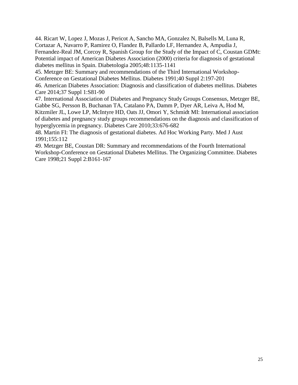44. Ricart W, Lopez J, Mozas J, Pericot A, Sancho MA, Gonzalez N, Balsells M, Luna R, Cortazar A, Navarro P, Ramirez O, Flandez B, Pallardo LF, Hernandez A, Ampudia J, Fernandez-Real JM, Corcoy R, Spanish Group for the Study of the Impact of C, Coustan GDMt: Potential impact of American Diabetes Association (2000) criteria for diagnosis of gestational diabetes mellitus in Spain. Diabetologia 2005;48:1135-1141

45. Metzger BE: Summary and recommendations of the Third International Workshop-Conference on Gestational Diabetes Mellitus. Diabetes 1991;40 Suppl 2:197-201

46. American Diabetes Association: Diagnosis and classification of diabetes mellitus. Diabetes Care 2014;37 Suppl 1:S81-90

47. International Association of Diabetes and Pregnancy Study Groups Consensus, Metzger BE, Gabbe SG, Persson B, Buchanan TA, Catalano PA, Damm P, Dyer AR, Leiva A, Hod M, Kitzmiler JL, Lowe LP, McIntyre HD, Oats JJ, Omori Y, Schmidt MI: International association of diabetes and pregnancy study groups recommendations on the diagnosis and classification of hyperglycemia in pregnancy. Diabetes Care 2010;33:676-682

48. Martin FI: The diagnosis of gestational diabetes. Ad Hoc Working Party. Med J Aust 1991;155:112

49. Metzger BE, Coustan DR: Summary and recommendations of the Fourth International Workshop-Conference on Gestational Diabetes Mellitus. The Organizing Committee. Diabetes Care 1998;21 Suppl 2:B161-167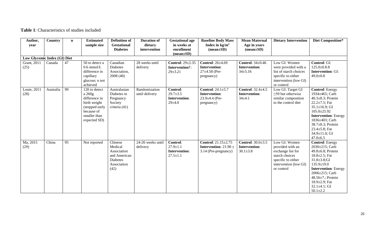# **Table 1**: Characteristics of studies included

| Author,                      | <b>Country</b> | $\mathbf n$ | <b>Estimated</b>          | <b>Definition of</b>                  | <b>Duration of</b>      | <b>Gestational age</b>    | <b>Baseline Body Mass</b>                 | <b>Mean Maternal</b>          | <b>Dietary Intervention</b>     | Diet Composition*                      |
|------------------------------|----------------|-------------|---------------------------|---------------------------------------|-------------------------|---------------------------|-------------------------------------------|-------------------------------|---------------------------------|----------------------------------------|
| year                         |                |             | sample size               | <b>Gestational</b><br><b>Diabetes</b> | dietary<br>intervention | in weeks at<br>enrollment | Index in $\text{kg/m}^2$<br>$mean \pm SD$ | Age in years<br>$mean \pm SD$ |                                 |                                        |
|                              |                |             |                           |                                       |                         | $mean \pm SD$ )           |                                           |                               |                                 |                                        |
| Low Glycemic Index (GI) Diet |                |             |                           |                                       |                         |                           |                                           |                               |                                 |                                        |
| Grant, 2011                  | Canada         | 47          | 50 to detect a            | Canadian                              | 28 weeks until          | <b>Control: 29±2.35</b>   | <b>Control:</b> 26±4.69                   | Control: $34\pm0.46$          | Low GI: Women                   | Control: GI:                           |
| (25)                         |                |             | $0.6$ mmol/L              | <b>Diabetes</b>                       | delivery                | Intervention†:            | Intervention:                             | <b>Intervention:</b>          | were provided with a            | $125.0 \pm 0.8.8$                      |
|                              |                |             | difference in             | Association,                          |                         | $29 \pm 3.21$             | $27\pm4.58$ (Pre-                         | $34 \pm 5.16$                 | list of starch choices          | <b>Intervention: GI:</b>               |
|                              |                |             | capillary                 | 2008 (40)                             |                         |                           | pregnancy)                                |                               | specific to either              | $49.0 \pm 0.8$                         |
|                              |                |             | glucose; n not            |                                       |                         |                           |                                           |                               | intervention (low GI)           |                                        |
| Louie, 2011                  | Australia      | 99          | achieved<br>120 to detect | Australasian                          | Randomization           | Control:                  | Control: $24.1 \pm 5.7$                   | <b>Control:</b> 32.4±4.5      | or control<br>Low GI: Target GI | <b>Control: Energy</b>                 |
| (28)                         |                |             | a 260g                    | Diabetes in                           | until delivery          | $29.7 \pm 3.5$            | <b>Intervention:</b>                      | Intervention:                 | $\leq$ 50 but otherwise         | 1934±465; Carb                         |
|                              |                |             | difference in             | Pregnancy                             |                         | <b>Intervention:</b>      | $23.9 \pm 4.4$ (Pre-                      | $34 \pm 4.1$                  | similar composition             | 40.3±8.3; Protein                      |
|                              |                |             | birth weight              | Society                               |                         | $29 + 4.0$                | pregnancy)                                |                               | to the control diet             | $22.2 \pm 7.5$ ; Fat                   |
|                              |                |             | (stopped early            | criteria (41)                         |                         |                           |                                           |                               |                                 | $35.1 \pm 16.9$ ; GI                   |
|                              |                |             | because of                |                                       |                         |                           |                                           |                               |                                 | $105.0 \pm 25.92$                      |
|                              |                |             | smaller than              |                                       |                         |                           |                                           |                               |                                 | <b>Intervention: Energy</b>            |
|                              |                |             | expected SD)              |                                       |                         |                           |                                           |                               |                                 | 1836±403; Carb                         |
|                              |                |             |                           |                                       |                         |                           |                                           |                               |                                 | 38.7±8.3; Protein                      |
|                              |                |             |                           |                                       |                         |                           |                                           |                               |                                 | 23.4 $\pm$ 5.8; Fat                    |
|                              |                |             |                           |                                       |                         |                           |                                           |                               |                                 | $34.9 \pm 11.0$ ; GI<br>$47.0 \pm 6.5$ |
| Ma, 2015                     | China          | 95          | Not reported              | Chinese                               | 24-26 weeks until       | Control:                  | Control: 21.15±2.75                       | Control: $30.0 \pm 3.5$       | Low GI: Women                   | <b>Control: Energy</b>                 |
| (29)                         |                |             |                           | Medical                               | delivery                | $27.9 \pm 1.1$            | <b>Intervention:</b> 21.90 $\pm$          | <b>Intervention:</b>          | provided with an                | 2030±215; Carb                         |
|                              |                |             |                           | Association                           |                         | <b>Intervention:</b>      | 3.14 (Pre-pregnancy)                      | $30.1 \pm 3.8$                | exchange list for               | 49.8±6.8; Protein                      |
|                              |                |             |                           | and American                          |                         | $27.5 \pm 1.1$            |                                           |                               | starch choices                  | $18.8 \pm 2.5$ ; Fat                   |
|                              |                |             |                           | <b>Diabetes</b>                       |                         |                           |                                           |                               | specific to either              | $31.8 \pm 3.8$ ;GI                     |
|                              |                |             |                           | Association                           |                         |                           |                                           |                               | intervention (low GI)           | $135.9 \pm 19.0$                       |
|                              |                |             |                           | (42)                                  |                         |                           |                                           |                               | or control                      | <b>Intervention: Energy</b>            |
|                              |                |             |                           |                                       |                         |                           |                                           |                               |                                 | 2006±215; Carb                         |
|                              |                |             |                           |                                       |                         |                           |                                           |                               |                                 | 48.56±7.; Protein                      |
|                              |                |             |                           |                                       |                         |                           |                                           |                               |                                 | 18.9±2.9; Fat                          |
|                              |                |             |                           |                                       |                         |                           |                                           |                               |                                 | $32.1 \pm 4.1$ ; GI                    |
|                              |                |             |                           |                                       |                         |                           |                                           |                               |                                 | $50.1 \pm 2.2$                         |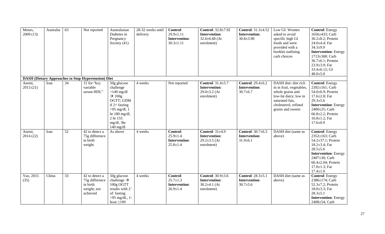| Moses,<br>2009(13) | Australia | 63              | Not reported                                                                         | Australasian<br>Diabetes in<br>Pregnancy<br>Society (41)                                                                                                                   | 28-32 weeks until<br>delivery | <b>Control:</b><br>$29.9 \pm 1.11$<br><b>Intervention:</b><br>$30.3 \pm 1.11$ | <b>Control:</b> 32.8±7.92<br>Intervention:<br>$32.0\pm 6.68$ (At<br>enrolment)      | Control: 31.3±4.52<br><b>Intervention:</b><br>$30.8 \pm 3.90$      | Low GI: Women<br>asked to avoid<br>specific high GI<br>foods and were<br>provided with a<br>booklet outlining<br>carb choices                                 | <b>Control: Energy</b><br>1656±433; Carb<br>36.2±8.2; Protein<br>24.0±4.4; Fat<br>$34.3 + 9.9$<br><b>Intervention: Energy</b><br>1713±368; Carb<br>36.7±6.1; Protein<br>23.9±3.9; Fat<br>33.4 $\pm$ 6.12; GI<br>$48.0{\pm}5.0$       |
|--------------------|-----------|-----------------|--------------------------------------------------------------------------------------|----------------------------------------------------------------------------------------------------------------------------------------------------------------------------|-------------------------------|-------------------------------------------------------------------------------|-------------------------------------------------------------------------------------|--------------------------------------------------------------------|---------------------------------------------------------------------------------------------------------------------------------------------------------------|--------------------------------------------------------------------------------------------------------------------------------------------------------------------------------------------------------------------------------------|
|                    |           |                 | <b>DASH (Dietary Approaches to Stop Hypertension) Diet</b>                           |                                                                                                                                                                            |                               |                                                                               |                                                                                     |                                                                    |                                                                                                                                                               |                                                                                                                                                                                                                                      |
| Asemi,<br>2013(21) | Iran      | 34              | 32 for "key<br>variable<br>serum HDL"                                                | 50g glucose<br>challenge<br>$>140$ mg/dl<br>$\rightarrow 100g$<br>OGTT; GDM<br>if $2+$ fasting<br>$>95$ mg/dl, 1<br>hr 180 mg/dl,<br>2 hr 155<br>mg/dl, 3hr<br>$140$ mg/dl | 4 weeks                       | Not reported                                                                  | Control: $31.4 \pm 5.7$<br>Intervention:<br>$29.0 \pm 3.2$ (At<br>enrolment)        | <b>Control: 29.4±6.2</b><br><b>Intervention:</b><br>$30.7 \pm 6.7$ | DASH diet: diet rich<br>in in fruit, vegetables,<br>whole grains and<br>low-fat dairy; low in<br>saturated fats,<br>cholesterol, refined<br>grains and sweets | <b>Control: Energy</b><br>$2392 \pm 161$ ; Carb<br>54.0±6.9; Protein<br>$17.6 \pm 2.8$ ; Fat<br>$29.3 \pm 5.6$<br><b>Intervention: Energy</b><br>$2400 \pm 25$ ; Carb<br>66.8±2.2; Protein<br>$16.8 \pm 1.2$ ; Fat<br>$17.6 \pm 0.9$ |
| Asemi,<br>2014(22) | Iran      | $\overline{52}$ | 42 to detect a<br>75g difference<br>in birth<br>weight                               | As above                                                                                                                                                                   | 4 weeks                       | Control:<br>$25.9 \pm 1.4$<br><b>Intervention:</b><br>$25.8 \pm 1.4$          | Control: $31\pm4.9$<br><b>Intervention:</b><br>$29.2 \pm 3.5$ (At<br>enrolment)     | <b>Control:</b> 30.7±6.3<br><b>Intervention:</b><br>$31.9 \pm 6.1$ | DASH diet (same as<br>above)                                                                                                                                  | <b>Control: Energy</b><br>$2352 \pm 163$ ; Carb<br>54.2±37.1; Protein<br>18.2 $\pm$ 3.4; Fat<br>$28.5 \pm 5.6$<br><b>Intervention: Energy</b><br>2407±30; Carb<br>66.4 $\pm$ 2.04; Protein<br>$17.0 \pm 1.3$ ; Fat<br>$17.4 \pm 1.0$ |
| Yao, 2015<br>(35)  | China     | $\overline{33}$ | $\overline{42}$ to detect a<br>75g difference<br>in birth<br>weight; not<br>achieved | 50g glucose<br>challenge $\rightarrow$<br>100g OGTT<br>results with 2 <sup>+</sup><br>of: fasting<br>$>95$ mg/dL, 1-<br>hour $\geq$ 180                                    | 4 weeks                       | Control:<br>$25.7 \pm 1.3$<br><b>Intervention:</b><br>$26.9 \pm 1.4$          | Control: $30.9 \pm 3.6$<br><b>Intervention:</b><br>$30.2 \pm 4.1$ (At<br>enrolment) | Control: 28.3±5.1<br><b>Intervention:</b><br>$30.7 \pm 5.6$        | DASH diet (same as<br>above)                                                                                                                                  | <b>Control: Energy</b><br>2386±174; Carb<br>52.3±7.2; Protein<br>$18.0 \pm 3.3$ ; Fat<br>$28.3 \pm 5.1$<br><b>Intervention: Energy</b><br>2408±54; Carb                                                                              |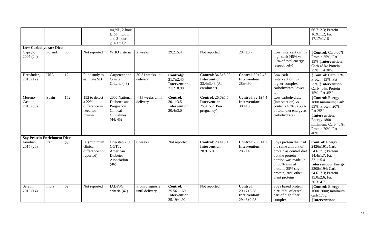| <b>Low Carbohydrate Diets</b>       |            |                 |                                                                | mg/dL, 2-hour<br>$\geq$ 155 mg/dL<br>and 3-hour<br>$\geq$ 140 mg/dL              |                                   |                                                                         |                                                                                 |                                                             |                                                                                                                                                                                               | 66.7 $\pm$ 2.3; Protein<br>$16.9 \pm 1.2$ ; Fat<br>$17.17 \pm 1.16$                                                                                                                                                   |
|-------------------------------------|------------|-----------------|----------------------------------------------------------------|----------------------------------------------------------------------------------|-----------------------------------|-------------------------------------------------------------------------|---------------------------------------------------------------------------------|-------------------------------------------------------------|-----------------------------------------------------------------------------------------------------------------------------------------------------------------------------------------------|-----------------------------------------------------------------------------------------------------------------------------------------------------------------------------------------------------------------------|
| Cypryk,<br>2007(24)                 | Poland     | $\overline{30}$ | Not reported                                                   | WHO criteria                                                                     | 2 weeks                           | $29.2 \pm 5.4$                                                          | Not reported                                                                    | $28.7 \pm 3.7$                                              | Low (intervention) vs<br>high carb (45% vs<br>60% of total energy,<br>respectively)                                                                                                           | <b>‡Control</b> : Carb 60%;<br>Protein 25%; Fat<br>15% ‡Intervention:<br>Carb 45%; Protein<br>25%; Fat 30%                                                                                                            |
| Hernández,<br>2016(12)              | <b>USA</b> | 12              | Pilot study to<br>estimate SD                                  | Carpenter and<br>Coustan<br>Criteria (43)                                        | $30-31$ weeks until<br>delivery   | Control§:<br>$31.7 \pm 2.45$<br><b>Intervention:</b><br>$31.2 \pm 0.98$ | Control: 34.3±3.92<br><b>Intervention:</b><br>33.4 $\pm$ 3.43 (At<br>enrolment) | Control: $30\pm2.45$<br><b>Intervention:</b><br>$28 + 4.90$ | Low carb<br>(intervention) vs<br>higher-complex<br>carbohydrate/lower<br>fat                                                                                                                  | <b>‡Control</b> : Carb 60%;<br>Protein 15%; Fat<br>25% ‡Intervention:<br>Carb 40%; Protein<br>15%; Fat 45%                                                                                                            |
| Moreno-<br>Castilla,<br>2013(30)    | Spain      | 152             | 152 to detect<br>a 22%<br>difference in<br>need for<br>insulin | 2006 National<br>Diabetes and<br>Pregnancy<br>Clinical<br>Guidelines<br>(44; 45) | $\leq$ 35 weeks until<br>delivery | Control:<br>$30.1 \pm 3.5$<br><b>Intervention:</b><br>$30.4 \pm 3.0$    | Control: 26.6±5.5<br><b>Intervention:</b><br>$25.4 \pm 5.7$ (Pre-<br>pregnancy) | <b>Control:</b> 32.1±4.4<br>Intervention:<br>$30.4 \pm 3.0$ | Low carbohydrate<br>(intervention) vs<br>control (40% vs 55%<br>of total diet energy as<br>carbohydrate)                                                                                      | Control: Energy<br>1800 minimum; Carb<br>55%; Protein 20%;<br>Fat 25%<br><b><i><u>‡Intervention</u></i></b><br>Energy 1800<br>minimum; Carb 40%;<br>Protein 20%; Fat<br>40%                                           |
| <b>Soy Protein Enrichment Diets</b> |            |                 |                                                                |                                                                                  |                                   |                                                                         |                                                                                 |                                                             |                                                                                                                                                                                               |                                                                                                                                                                                                                       |
| Jamilian,<br>2015 (26)              | Iran       | 68              | 56 (minimum<br>clinical<br>difference not<br>reported)         | One-step 75g<br>OGTT,<br>American<br><b>Diabetes</b><br>Association<br>(46)      | 6 weeks                           | Not reported                                                            | Control: $28.4 \pm 3.4$<br><b>Intervention:</b><br>$28.9{\pm}5.0$               | <b>Control:</b> 29.3±4.2<br>Intervention:<br>$28.2 \pm 4.6$ | Soya protein diet had<br>the same amount of<br>protein as control diet<br>but the protein<br>portion was made up<br>of 35% animal<br>protein, 35% soy<br>protein, 30% other<br>plant proteins | <b>Control: Energy</b><br>2426±191; Carb<br>54.6±7.1; Protein<br>$14.4 \pm 1.7$ ; Fat<br>$32.1 \pm 5.4$<br><b>Intervention: Energy</b><br>2308±194; Carb<br>54.6±7.3; Protein<br>$15.0 \pm 2.6$ ; Fat<br>$30.3 + 4.7$ |
| Sarathi,<br>2016(14)                | India      | 62              | Not reported                                                   | <b>IADPSG</b><br>criteria (47)                                                   | From diagnosis<br>until delivery  | Control:<br>$25.56 \pm 1.69$<br>Intervention:<br>$25.19 \pm 1.92$       | Not reported                                                                    | Control:<br>$29.17 \pm 3.38$<br>Intervention:<br>29.43±2.98 | Soya based protein<br>diet: 25% of cereal<br>part of high fiber<br>complex                                                                                                                    | Control: Energy<br>1600-2000; minimum<br>carb 175g;<br><b><i><u>iIntervention</u></i></b>                                                                                                                             |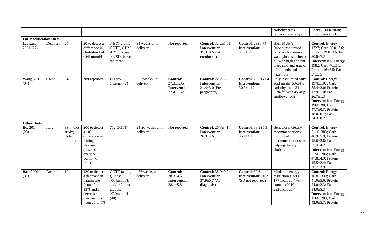|                                                        |           |                                             |                                                                                                                            |                                                                                               |                                   |                                                                        |                                                                                        |                                                                        | carbohydrates                                                                                                                                                         | Energy 1600-2000;                                                                                                                                                                                                      |
|--------------------------------------------------------|-----------|---------------------------------------------|----------------------------------------------------------------------------------------------------------------------------|-----------------------------------------------------------------------------------------------|-----------------------------------|------------------------------------------------------------------------|----------------------------------------------------------------------------------------|------------------------------------------------------------------------|-----------------------------------------------------------------------------------------------------------------------------------------------------------------------|------------------------------------------------------------------------------------------------------------------------------------------------------------------------------------------------------------------------|
|                                                        |           |                                             |                                                                                                                            |                                                                                               |                                   |                                                                        |                                                                                        |                                                                        | replaced with soya                                                                                                                                                    | minimum carb $175g$ ;                                                                                                                                                                                                  |
| <b>Fat Modification Diets</b><br>Lauszus,<br>2001 (27) | Denmark   | 27                                          | 20 to detect a<br>difference in<br>cholesterol of<br>$0.65$ mmol/l                                                         | 3-h 75 grams<br>OGTT, GDM<br>if $2^+$ glucose<br>> 3 SD above<br>the mean                     | 34 weeks until<br>delivery        | Not reported                                                           | <b>Control:</b> 32.2±5.61<br><b>Intervention:</b><br>$35.3 \pm 8.65$ (At<br>enrolment) | <b>Control: 29±3.74</b><br>Intervention:<br>$31 \pm 3.61$              | <b>High MUFA</b><br>(monounsaturated<br>fatty acids): source<br>was hybrid sunflower<br>oil with high content<br>oleic acid and snacks<br>of almonds and<br>hazelnuts | <b>Control: Energy</b><br>1727; Carb $50.0 \pm 3.6$ ;<br>Protein $19.0 \pm 3.6$ ; Fat<br>$30.0 \pm 7.2$<br><b>Intervention: Energy</b><br>1982; Carb 46±3.5;<br>Protein $16\pm3.5$ ; Fat<br>$37 + 3.5$                 |
| Wang, 2015<br>(34)                                     | China     | $\overline{84}$                             | Not reported                                                                                                               | <b>IADPSG</b><br>criteria (47)                                                                | $\sim$ 27 weeks until<br>delivery | Control:<br>$27.3 \pm 1.96$<br><b>Intervention:</b><br>$27.4 \pm 1.52$ | Control: $22.2 \pm 3.6$<br>Intervention:<br>$21.4 \pm 3.0$ (Pre-<br>pregnancy)         | <b>Control: 29.7±4.64</b><br><b>Intervention:</b><br>$30.3 \pm 4.17$   | Polyunsaturated fatty<br>acid meals (50-54%<br>carbohydrate, 31-<br>35% fat with 45-40g<br>sunflower oil)                                                             | <b>Control: Energy</b><br>1978±107; Carb<br>55.4±2.0; Protein<br>17.9±1.0; Fat<br>$26.7 \pm 1.3$<br><b>Intervention: Energy</b><br>1960±90; Carb<br>47.7±0.7; Protein<br>$18.0 \pm 0.7$ ; Fat<br>$34.3 \pm 0.2$        |
| <b>Other Diets</b>                                     |           |                                             |                                                                                                                            |                                                                                               |                                   |                                                                        |                                                                                        |                                                                        |                                                                                                                                                                       |                                                                                                                                                                                                                        |
| Bo, 2014<br>(23)                                       | Italy     | 99 in diet<br>study)<br>(total<br>$n=200$ ) | 200 to detect<br>a 10%<br>difference in<br>fasting<br>glucose<br>(based on<br>exercise<br>portion of<br>trial)             | 75g OGTT                                                                                      | 24-26 weeks until<br>delivery     | Not reported                                                           | <b>Control:</b> 26.8±4.1<br><b>Intervention:</b><br>$26.9 + 4.6$                       | Control: 33.9±5.3<br><b>Intervention:</b><br>$35.1 \pm 4.4$            | Behavioral dietary<br>recommendations:<br>individual<br>recommendations for<br>helping dietary<br>choices                                                             | <b>Control: Energy</b><br>2116±383; Carb<br>46.9±5.9; Protein<br>15.6 $\pm$ 2.6; Fat<br>$37.4 \pm 4.2$<br><b>Intervention: Energy</b><br>2156±286; Carb<br>47.8±4.9; Protein<br>$15.5 \pm 2.4$ ; Fat<br>$36.7 \pm 3.9$ |
| Rae, 2000<br>(31)                                      | Australia | 124                                         | 120 to detect<br>a decrease in<br>insulin use<br>from 40 to<br>15% and a<br>decrease in<br>macrosomia<br>from $25$ to $5%$ | OGTT fasting<br>glucose<br>$>5.4$ mmol/L<br>and/or 2 hour<br>glucose<br>$>7.9$ mmol/L<br>(48) | <36 weeks until<br>delivery       | Control:<br>$28.3 + 4.6$<br><b>Intervention:</b><br>$28.1 \pm 5.8$     | Control: 38.0±0.7<br>Intervention:<br>$37.9 \pm 0.7$ (At<br>diagnosis)                 | <b>Control: 30.6</b><br><b>Intervention: 30.2</b><br>(SD not reported) | Moderate energy<br>restriction (1590-<br>1776kcal/day) vs<br>control (2010-<br>2220kcal/day)                                                                          | <b>Control: Energy</b><br>1630±339; Carb<br>41.0 $\pm$ 5.6; Protein<br>24.0 $\pm$ 2.3; Fat<br>$34.0 \pm 5.3$<br><b>Intervention: Energy</b><br>1566±289; Carb<br>42.0 $\pm$ 5.7; Protein                               |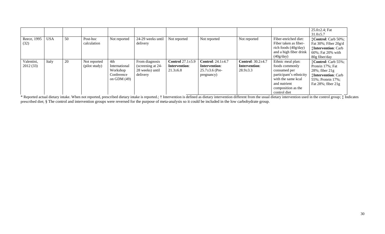|                     |            |    |                         |                             |                                      |                                 |                                       |                                 |                                                               | $25.0 \pm 2.4$ ; Fat<br>$31.0 \pm 5.7$                         |
|---------------------|------------|----|-------------------------|-----------------------------|--------------------------------------|---------------------------------|---------------------------------------|---------------------------------|---------------------------------------------------------------|----------------------------------------------------------------|
| Reece, 1995<br>(32) | <b>USA</b> | 50 | Post-hoc<br>calculation | Not reported                | 24-29 weeks until<br>delivery        | Not reported                    | Not reported                          | Not reported                    | Fiber-enriched diet:<br>Fiber taken as fiber-                 | <b>‡Control:</b> Carb 50%;<br>Fat $30\%$ ; Fiber $20g/d$       |
|                     |            |    |                         |                             |                                      |                                 |                                       |                                 | rich foods $(40g/day)$<br>and a high fiber drink<br>(40g/day) | <b>Thervention: Carb</b><br>60%; Fat 20% with<br>80g fiber/day |
| Valentini,          | Italy      | 20 | Not reported            | 4th                         | From diagnosis                       | Control $27.1 \pm 5.9$          | Control: $24.1 \pm 4.7$               | Control: $30.2\pm4.7$           | Ethnic meal plan:                                             | <b>‡Control:</b> Carb 55%;                                     |
| 2012(33)            |            |    | (pilot study)           | International<br>Workshop   | (screening at 24-<br>28 weeks) until | Intervention:<br>$21.3 \pm 6.8$ | Intervention:<br>$25.7 \pm 3.6$ (Pre- | Intervention:<br>$28.9 \pm 3.3$ | foods commonly<br>consumed per                                | Protein 17%; Fat<br>$28\%$ ; fiber $21g$                       |
|                     |            |    |                         | Conference<br>on GDM $(49)$ | delivery                             |                                 | pregnancy)                            |                                 | participant's ethnicity<br>with the same kcal                 | <b>Intervention: Carb</b><br>55%; Protein 17%;                 |
|                     |            |    |                         |                             |                                      |                                 |                                       |                                 | and nutrient<br>composition as the<br>control diet            | Fat $28\%$ ; fiber $21g$                                       |

\* Reported actual dietary intake. When not reported, prescribed dietary intake is reported.; † Intervention is defined as dietary intervention different from the usual dietary intervention used in the control group; ‡ Indi prescribed diet; § The control and intervention groups were reversed for the purpose of meta-analysis so it could be included in the low carbohydrate group.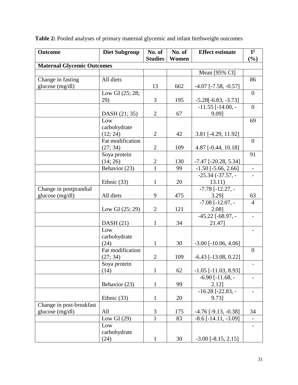| <b>Outcome</b>                              | <b>Diet Subgroup</b>                                                                                                                          | No. of                                                                                   | No. of                                         | <b>Effect estimate</b>                                                                                                                                                                                                             | ${\bf I}^2$              |
|---------------------------------------------|-----------------------------------------------------------------------------------------------------------------------------------------------|------------------------------------------------------------------------------------------|------------------------------------------------|------------------------------------------------------------------------------------------------------------------------------------------------------------------------------------------------------------------------------------|--------------------------|
|                                             |                                                                                                                                               | <b>Studies</b>                                                                           | Women                                          |                                                                                                                                                                                                                                    | $(\%)$                   |
| <b>Maternal Glycemic Outcomes</b>           |                                                                                                                                               |                                                                                          |                                                |                                                                                                                                                                                                                                    |                          |
|                                             |                                                                                                                                               |                                                                                          |                                                | Mean [95% CI]                                                                                                                                                                                                                      | 86                       |
| Change in fasting                           | All diets                                                                                                                                     |                                                                                          |                                                |                                                                                                                                                                                                                                    |                          |
| glucose (mg/dl)                             |                                                                                                                                               | 13                                                                                       | 662                                            | $-4.07$ [ $-7.58$ , $-0.57$ ]                                                                                                                                                                                                      | $\overline{0}$           |
|                                             | Low GI (25; 28;<br>29)                                                                                                                        | 3                                                                                        | 195                                            |                                                                                                                                                                                                                                    |                          |
|                                             |                                                                                                                                               |                                                                                          |                                                | $-5.28[-6.83, -3.73]$<br>$-11.55$ [ $-14.00$ , $-$                                                                                                                                                                                 | $\overline{0}$           |
|                                             | DASH (21; 35)                                                                                                                                 | $\overline{2}$                                                                           | 67                                             | 9.091                                                                                                                                                                                                                              |                          |
|                                             | Low                                                                                                                                           |                                                                                          |                                                |                                                                                                                                                                                                                                    | 69                       |
|                                             | carbohydrate                                                                                                                                  |                                                                                          |                                                |                                                                                                                                                                                                                                    |                          |
|                                             | (12; 24)                                                                                                                                      | $\overline{2}$                                                                           | 42                                             | 3.81 [-4.29, 11.92]                                                                                                                                                                                                                |                          |
|                                             | Fat modification                                                                                                                              |                                                                                          |                                                |                                                                                                                                                                                                                                    | $\overline{0}$           |
|                                             | (27; 34)                                                                                                                                      | $\overline{2}$                                                                           | 109                                            | 4.87 [-0.44, 10.18]                                                                                                                                                                                                                |                          |
|                                             | Soya protein                                                                                                                                  |                                                                                          |                                                |                                                                                                                                                                                                                                    | 91                       |
|                                             | (14; 26)                                                                                                                                      | $\overline{c}$                                                                           | 130                                            | $-7.47$ [ $-20.28, 5.34$ ]                                                                                                                                                                                                         |                          |
|                                             | Behavior (23)                                                                                                                                 | $\mathbf{1}$                                                                             | 99                                             | $-1.50$ [ $-5.66$ , 2.66]                                                                                                                                                                                                          | $\overline{\phantom{a}}$ |
|                                             |                                                                                                                                               |                                                                                          |                                                | $-25.34$ $(-37.57, -$                                                                                                                                                                                                              |                          |
|                                             | Ethnic $(33)$                                                                                                                                 | $\mathbf{1}$                                                                             | 20                                             | 13.11)                                                                                                                                                                                                                             |                          |
| Change in postprandial                      |                                                                                                                                               |                                                                                          |                                                | $-7.78$ [ $-12.27$ , $-$                                                                                                                                                                                                           |                          |
| glucose (mg/dl)                             | All diets                                                                                                                                     | 9                                                                                        | 475                                            | 3.29]                                                                                                                                                                                                                              | 63                       |
|                                             |                                                                                                                                               |                                                                                          |                                                | $-7.08$ [ $-12.07$ , $-$                                                                                                                                                                                                           | $\overline{4}$           |
|                                             | Low GI $(25; 29)$                                                                                                                             | $\overline{2}$                                                                           | 121                                            | 2.08]                                                                                                                                                                                                                              |                          |
|                                             |                                                                                                                                               |                                                                                          |                                                | $-45.22$ [ $-68.97$ , $-$                                                                                                                                                                                                          |                          |
|                                             | DASH(21)                                                                                                                                      | $\mathbf{1}$                                                                             | 34                                             | 21.47]                                                                                                                                                                                                                             |                          |
|                                             | Low                                                                                                                                           |                                                                                          |                                                |                                                                                                                                                                                                                                    |                          |
|                                             | carbohydrate                                                                                                                                  |                                                                                          |                                                |                                                                                                                                                                                                                                    |                          |
|                                             | (24)                                                                                                                                          | 1                                                                                        |                                                | $-3.00$ [ $-10.06$ , 4.06]                                                                                                                                                                                                         |                          |
|                                             |                                                                                                                                               |                                                                                          |                                                |                                                                                                                                                                                                                                    |                          |
|                                             |                                                                                                                                               |                                                                                          |                                                |                                                                                                                                                                                                                                    |                          |
|                                             |                                                                                                                                               |                                                                                          |                                                |                                                                                                                                                                                                                                    |                          |
|                                             |                                                                                                                                               |                                                                                          |                                                |                                                                                                                                                                                                                                    |                          |
|                                             |                                                                                                                                               |                                                                                          |                                                |                                                                                                                                                                                                                                    |                          |
|                                             |                                                                                                                                               |                                                                                          |                                                |                                                                                                                                                                                                                                    |                          |
|                                             |                                                                                                                                               |                                                                                          |                                                |                                                                                                                                                                                                                                    |                          |
|                                             |                                                                                                                                               |                                                                                          |                                                |                                                                                                                                                                                                                                    |                          |
|                                             |                                                                                                                                               |                                                                                          |                                                |                                                                                                                                                                                                                                    |                          |
|                                             |                                                                                                                                               |                                                                                          |                                                |                                                                                                                                                                                                                                    |                          |
|                                             |                                                                                                                                               |                                                                                          |                                                |                                                                                                                                                                                                                                    |                          |
|                                             |                                                                                                                                               |                                                                                          |                                                |                                                                                                                                                                                                                                    |                          |
|                                             |                                                                                                                                               |                                                                                          |                                                |                                                                                                                                                                                                                                    |                          |
| Change in post-breakfast<br>glucose (mg/dl) | Fat modification<br>(27; 34)<br>Soya protein<br>(14)<br>Behavior (23)<br>Ethnic $(33)$<br>All<br>Low GI $(29)$<br>Low<br>carbohydrate<br>(24) | $\overline{2}$<br>$\mathbf{1}$<br>$\mathbf{1}$<br>1<br>3<br>$\mathbf{1}$<br>$\mathbf{1}$ | 30<br>109<br>62<br>99<br>20<br>175<br>83<br>30 | $-6.43$ [ $-13.08$ , 0.22]<br>$-1.05$ [ $-11.03$ , 8.93]<br>$-6.90$ [ $-11.68$ , $-$<br>$2.12$ ]<br>$-16.28$ [ $-22.83$ , $-$<br>9.73]<br>$-4.76$ [ $-9.13$ , $-0.38$ ]<br>$-8.6$ [ $-14.11, -3.09$ ]<br>$-3.00$ [ $-8.15$ , 2.15] | $\overline{0}$<br>34     |

| <b>Table 2:</b> Pooled analyses of primary maternal glycemic and infant birthweight outcomes |  |  |
|----------------------------------------------------------------------------------------------|--|--|
|                                                                                              |  |  |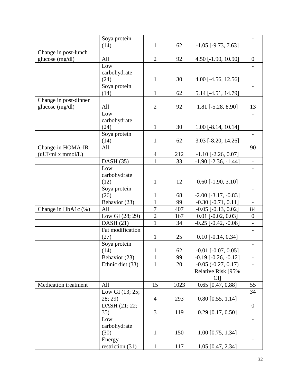|                             | Soya protein      |                |      |                              |                  |
|-----------------------------|-------------------|----------------|------|------------------------------|------------------|
|                             | (14)              | $\mathbf{1}$   | 62   | $-1.05$ [ $-9.73$ , $7.63$ ] |                  |
| Change in post-lunch        |                   |                |      |                              |                  |
| glucose (mg/dl)             | All               | 2              | 92   | 4.50 [-1.90, 10.90]          | $\boldsymbol{0}$ |
|                             | Low               |                |      |                              |                  |
|                             | carbohydrate      |                |      |                              |                  |
|                             | (24)              | $\mathbf{1}$   | 30   | 4.00 [-4.56, 12.56]          |                  |
|                             | Soya protein      | $\mathbf{1}$   |      |                              |                  |
|                             | (14)              |                | 62   | 5.14 [-4.51, 14.79]          |                  |
| Change in post-dinner       | All               | $\overline{2}$ | 92   |                              |                  |
| glucose (mg/dl)             | Low               |                |      | 1.81 [-5.28, 8.90]           | 13               |
|                             | carbohydrate      |                |      |                              |                  |
|                             | (24)              | $\mathbf{1}$   | 30   | $1.00$ [-8.14, 10.14]        |                  |
|                             | Soya protein      |                |      |                              |                  |
|                             | (14)              | $\mathbf{1}$   | 62   | 3.03 [-8.20, 14.26]          |                  |
| Change in HOMA-IR           | All               |                |      |                              | 90               |
| (uUJ/ml x mmol/L)           |                   | 4              | 212  | $-1.10$ [ $-2.26$ , 0.07]    |                  |
|                             | DASH(35)          | $\overline{1}$ | 33   | $-1.90[-2.36, -1.44]$        | $\frac{1}{2}$    |
|                             | Low               |                |      |                              |                  |
|                             | carbohydrate      |                |      |                              |                  |
|                             | (12)              | $\mathbf{1}$   | 12   | $0.60$ [-1.90, 3.10]         |                  |
|                             | Soya protein      |                |      |                              |                  |
|                             | (26)              | 1              | 68   | $-2.00$ [ $-3.17, -0.83$ ]   |                  |
|                             | Behavior (23)     | $\mathbf{1}$   | 99   | $-0.30$ [ $-0.71, 0.11$ ]    |                  |
| Change in HbA1c (%)         | All               | $\overline{7}$ | 407  | $-0.05$ $[-0.13, 0.02]$      | 84               |
|                             | Low GI (28; 29)   | $\mathbf{2}$   | 167  | $0.01$ [ $-0.02$ , $0.03$ ]  | $\boldsymbol{0}$ |
|                             | DASH(21)          | $\mathbf{1}$   | 34   | $-0.25$ [ $-0.42, -0.08$ ]   |                  |
|                             | Fat modification  |                |      |                              |                  |
|                             | (27)              | $\mathbf{1}$   | 25   | $0.10$ [-0.14, 0.34]         |                  |
|                             | Soya protein      |                |      |                              |                  |
|                             | (14)              | $\mathbf{1}$   | 62   | $-0.01$ $[-0.07, 0.05]$      |                  |
|                             | Behavior (23)     | 1              | 99   | $-0.19$ $[-0.26, -0.12]$     |                  |
|                             | Ethnic diet (33)  | $\mathbf{1}$   | 20   | $-0.05$ $(-0.27, 0.17)$      |                  |
|                             |                   |                |      | Relative Risk [95%           |                  |
|                             |                   |                |      | CI                           |                  |
| <b>Medication</b> treatment | All               | 15             | 1023 | $0.65$ [0.47, 0.88]          | 55               |
|                             | Low GI $(13; 25;$ |                |      |                              | 34               |
|                             | 28; 29)           | $\overline{4}$ | 293  | $0.80$ [0.55, 1.14]          |                  |
|                             | DASH (21; 22;     |                |      |                              | $\boldsymbol{0}$ |
|                             | 35)               | 3              | 119  | $0.29$ [0.17, 0.50]          |                  |
|                             | Low               |                |      |                              |                  |
|                             | carbohydrate      |                |      |                              |                  |
|                             | (30)              | $\mathbf{1}$   | 150  | $1.00$ [0.75, 1.34]          |                  |
|                             | Energy            |                |      |                              |                  |
|                             | restriction (31)  | $\mathbf{1}$   | 117  | 1.05 [0.47, 2.34]            |                  |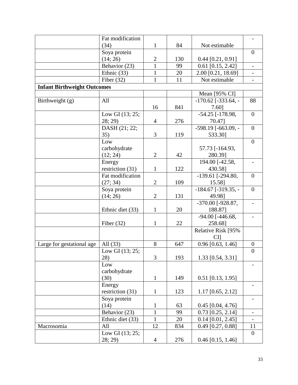|                                    | Fat modification   |                |     |                             |                              |
|------------------------------------|--------------------|----------------|-----|-----------------------------|------------------------------|
|                                    | (34)               | $\mathbf{1}$   | 84  | Not estimable               |                              |
|                                    | Soya protein       |                |     |                             | $\overline{0}$               |
|                                    | (14; 26)           | $\overline{2}$ | 130 | $0.44$ [0.21, 0.91]         |                              |
|                                    | Behavior (23)      | $\mathbf{1}$   | 99  | $0.61$ [0.15, 2.42]         |                              |
|                                    | Ethnic (33)        | $\mathbf{1}$   | 20  | 2.00 [0.21, 18.69]          | $\qquad \qquad \blacksquare$ |
|                                    | Fiber $(32)$       | 1              | 11  | Not estimable               |                              |
| <b>Infant Birthweight Outcomes</b> |                    |                |     |                             |                              |
|                                    |                    |                |     | Mean [95% CI]               |                              |
| Birthweight (g)                    | All                |                |     | $-170.62$ [ $-333.64$ , $-$ | 88                           |
|                                    |                    | 16             | 841 | 7.60]                       |                              |
|                                    | Low GI $(13; 25;$  |                |     | -54.25 [-178.98,            | $\boldsymbol{0}$             |
|                                    | 28; 29)            | $\overline{4}$ | 276 | 70.47]                      |                              |
|                                    | DASH (21; 22;      |                |     | $-598.19$ [ $-663.09$ , $-$ | $\overline{0}$               |
|                                    | 35)                | 3              | 119 | 533.30]                     |                              |
|                                    | Low                |                |     |                             | $\overline{0}$               |
|                                    | carbohydrate       |                |     | 57.73 [-164.93,             |                              |
|                                    | (12; 24)           | $\overline{2}$ | 42  | 280.39]                     |                              |
|                                    | Energy             |                |     | 194.00 [-42.58,             |                              |
|                                    | restriction (31)   | $\mathbf{1}$   | 122 | 430.58]                     |                              |
|                                    | Fat modification   |                |     | $-139.61$ [ $-294.80$ ,     | $\overline{0}$               |
|                                    | (27; 34)           | $\overline{2}$ | 109 | 15.58]                      |                              |
|                                    | Soya protein       |                |     | $-184.67$ [ $-319.35$ , $-$ | $\overline{0}$               |
|                                    | (14; 26)           | $\overline{2}$ | 131 | 49.98]                      |                              |
|                                    |                    |                |     | $-370.00$ [-928.87,         |                              |
|                                    | Ethnic diet (33)   | $\mathbf{1}$   | 20  | 188.87]                     |                              |
|                                    |                    |                |     | $-94.00$ [ $-446.68$ ,      |                              |
|                                    | Fiber $(32)$       | 1              | 22  | 258.68]                     |                              |
|                                    |                    |                |     | Relative Risk [95%          |                              |
|                                    |                    |                |     | CЦ                          |                              |
| Large for gestational age          | All $(33)$         | 8              | 647 | $0.96$ [0.63, 1.46]         | $\boldsymbol{0}$             |
|                                    | Low GI (13; 25;    |                |     |                             | $\overline{0}$               |
|                                    | 28)                | $\overline{3}$ | 193 | 1.33 [0.54, 3.31]           |                              |
|                                    | Low                |                |     |                             |                              |
|                                    | carbohydrate       |                |     |                             |                              |
|                                    | (30)               | $\mathbf{1}$   | 149 | $0.51$ [0.13, 1.95]         |                              |
|                                    | Energy             |                |     |                             |                              |
|                                    | restriction $(31)$ | $\mathbf{1}$   | 123 | $1.17$ [0.65, 2.12]         |                              |
|                                    | Soya protein       |                |     |                             |                              |
|                                    | (14)               | $\mathbf{1}$   | 63  | $0.45$ [0.04, 4.76]         |                              |
|                                    | Behavior (23)      | $\mathbf{1}$   | 99  | $0.73$ [0.25, 2.14]         | $\overline{\phantom{a}}$     |
|                                    | Ethnic diet (33)   | $\mathbf{1}$   | 20  | $0.14$ [0.01, 2.45]         |                              |
| Macrosomia                         | All                | 12             | 834 | $0.49$ [0.27, 0.88]         | 11                           |
|                                    | Low GI (13; 25;    |                |     |                             | $\overline{0}$               |
|                                    | 28; 29)            | $\overline{4}$ | 276 | $0.46$ [0.15, 1.46]         |                              |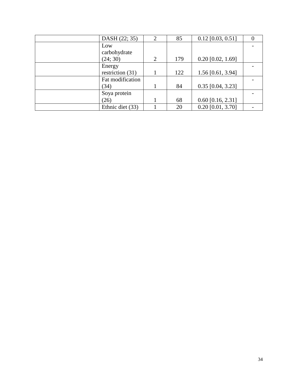| DASH (22; 35)      | 2 | 85  | $0.12$ [0.03, 0.51] | 0 |
|--------------------|---|-----|---------------------|---|
| Low                |   |     |                     |   |
| carbohydrate       |   |     |                     |   |
| (24; 30)           | 2 | 179 | $0.20$ [0.02, 1.69] |   |
| Energy             |   |     |                     |   |
| restriction $(31)$ |   | 122 | $1.56$ [0.61, 3.94] |   |
| Fat modification   |   |     |                     |   |
| (34)               |   | 84  | $0.35$ [0.04, 3.23] |   |
| Soya protein       |   |     |                     |   |
| (26)               |   | 68  | $0.60$ [0.16, 2.31] |   |
| Ethnic diet (33)   |   | 20  | $0.20$ [0.01, 3.70] |   |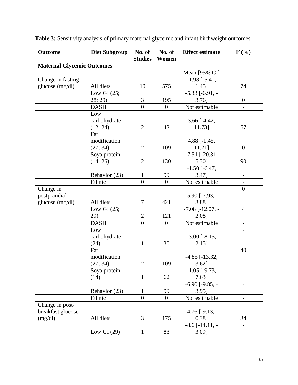| <b>Outcome</b>                    | <b>Diet Subgroup</b> | No. of<br><b>Studies</b> | No. of<br>Women  | <b>Effect estimate</b>   | $I^2(\% )$               |
|-----------------------------------|----------------------|--------------------------|------------------|--------------------------|--------------------------|
| <b>Maternal Glycemic Outcomes</b> |                      |                          |                  |                          |                          |
|                                   |                      |                          |                  | Mean [95% CI]            |                          |
| Change in fasting                 |                      |                          |                  | $-1.98$ [ $-5.41$ ,      |                          |
| glucose (mg/dl)                   | All diets            | 10                       | 575              | 1.45]                    | 74                       |
|                                   | Low GI $(25;$        |                          |                  | $-5.33$ [ $-6.91$ , $-$  |                          |
|                                   | 28; 29)              | 3                        | 195              | $3.76$ ]                 | $\boldsymbol{0}$         |
|                                   | <b>DASH</b>          | $\overline{0}$           | $\boldsymbol{0}$ | Not estimable            | $\overline{\phantom{0}}$ |
|                                   | Low                  |                          |                  |                          |                          |
|                                   | carbohydrate         |                          |                  | $3.66$ [-4.42,           |                          |
|                                   | (12; 24)             | $\overline{2}$           | 42               | 11.73]                   | 57                       |
|                                   | Fat                  |                          |                  |                          |                          |
|                                   | modification         |                          |                  | 4.88 $[-1.45,$           |                          |
|                                   | (27; 34)             | $\overline{2}$           | 109              | 11.21]                   | $\boldsymbol{0}$         |
|                                   | Soya protein         |                          |                  | $-7.51$ $[-20.31,$       |                          |
|                                   | (14; 26)             | $\overline{2}$           | 130              | 5.30]                    | 90                       |
|                                   |                      |                          |                  | $-1.50$ [ $-6.47$ ,      |                          |
|                                   | Behavior (23)        | 1                        | 99               | $3.47$ ]                 |                          |
|                                   | Ethnic               | $\overline{0}$           | $\boldsymbol{0}$ | Not estimable            | $\overline{\phantom{0}}$ |
| Change in                         |                      |                          |                  |                          | $\boldsymbol{0}$         |
| postprandial                      |                      |                          |                  | $-5.90$ [ $-7.93$ , $-$  |                          |
| glucose (mg/dl)                   | All diets            | 7                        | 421              | 3.88]                    |                          |
|                                   | Low GI $(25;$        |                          |                  | $-7.08$ [ $-12.07$ , $-$ | $\overline{4}$           |
|                                   | 29)                  | $\mathbf{2}$             | 121              | 2.08]                    |                          |
|                                   | <b>DASH</b>          | $\overline{0}$           | $\overline{0}$   | Not estimable            | $\overline{a}$           |
|                                   | Low                  |                          |                  |                          |                          |
|                                   | carbohydrate         |                          |                  | $-3.00$ [ $-8.15$ ,      |                          |
|                                   | (24)                 | $\mathbf{1}$             | 30               | $2.15$ ]                 |                          |
|                                   | Fat                  |                          |                  |                          | 40                       |
|                                   | modification         |                          |                  | $-4.85$ [ $-13.32$ ,     |                          |
|                                   | (27; 34)             | $\boldsymbol{2}$         | 109              | 3.62]                    |                          |
|                                   | Soya protein         |                          |                  | $-1.05$ [ $-9.73$ ,      |                          |
|                                   | (14)                 | $\mathbf{1}$             | 62               | $7.63$ ]                 |                          |
|                                   |                      |                          |                  | $-6.90$ [ $-9.85$ , $-$  |                          |
|                                   | Behavior (23)        | 1                        | 99               | $3.95$ ]                 |                          |
|                                   | Ethnic               | $\overline{0}$           | $\Omega$         | Not estimable            |                          |
| Change in post-                   |                      |                          |                  |                          |                          |
| breakfast glucose                 |                      |                          |                  | $-4.76$ [ $-9.13$ , $-$  |                          |
| (mg/dl)                           | All diets            | 3                        | 175              | 0.38]                    | 34                       |
|                                   |                      |                          |                  | $-8.6$ [ $-14.11$ , $-$  |                          |
|                                   | Low GI $(29)$        | $\mathbf{1}$             | 83               | $3.09$ ]                 |                          |

**Table 3:** Sensitivity analysis of primary maternal glycemic and infant birthweight outcomes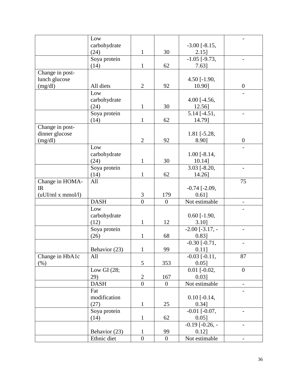|                   | Low           |                  |                  |                         |                  |
|-------------------|---------------|------------------|------------------|-------------------------|------------------|
|                   | carbohydrate  |                  |                  | $-3.00$ [ $-8.15$ ,     |                  |
|                   | (24)          | $\mathbf{1}$     | 30               | $2.15$ ]                |                  |
|                   |               |                  |                  |                         |                  |
|                   | Soya protein  |                  |                  | $-1.05$ [ $-9.73$ ,     |                  |
|                   | (14)          | $\mathbf{1}$     | 62               | 7.63]                   |                  |
| Change in post-   |               |                  |                  |                         |                  |
| lunch glucose     |               |                  |                  | 4.50 $[-1.90,$          |                  |
| (mg/dl)           | All diets     | $\overline{2}$   | 92               | 10.90]                  | $\boldsymbol{0}$ |
|                   | Low           |                  |                  |                         |                  |
|                   | carbohydrate  |                  |                  | 4.00 [ $-4.56$ ,        |                  |
|                   | (24)          | $\mathbf{1}$     | 30               | 12.56]                  |                  |
|                   | Soya protein  |                  |                  | $5.14$ [-4.51,          |                  |
|                   | (14)          | $\mathbf{1}$     | 62               | 14.79]                  |                  |
| Change in post-   |               |                  |                  |                         |                  |
| dinner glucose    |               |                  |                  | $1.81$ [ $-5.28$ ,      |                  |
|                   |               | $\overline{2}$   |                  |                         |                  |
| (mg/dl)           |               |                  | 92               | 8.90]                   | $\boldsymbol{0}$ |
|                   | Low           |                  |                  |                         |                  |
|                   | carbohydrate  |                  |                  | $1.00$ [-8.14,          |                  |
|                   | (24)          | $\mathbf{1}$     | 30               | $10.14$ ]               |                  |
|                   | Soya protein  |                  |                  | $3.03$ [ $-8.20$ ,      |                  |
|                   | (14)          | $\mathbf{1}$     | 62               | 14.26]                  |                  |
| Change in HOMA-   | All           |                  |                  |                         | 75               |
| IR                |               |                  |                  | $-0.74$ $[-2.09,$       |                  |
| (uUI/ml x mmol/l) |               | 3                | 179              | 0.61]                   |                  |
|                   | <b>DASH</b>   | $\overline{0}$   | $\overline{0}$   | Not estimable           |                  |
|                   | Low           |                  |                  |                         |                  |
|                   | carbohydrate  |                  |                  | $0.60$ [-1.90,          |                  |
|                   |               |                  |                  |                         |                  |
|                   | (12)          | $\mathbf{1}$     | 12               | $3.10$ ]                |                  |
|                   | Soya protein  |                  |                  | $-2.00$ [ $-3.17$ , $-$ |                  |
|                   | (26)          | $\mathbf{1}$     | 68               | $0.83$ ]                |                  |
|                   |               |                  |                  | $-0.30$ $[-0.71,$       |                  |
|                   | Behavior (23) | $\mathbf{1}$     | 99               | 0.11]                   |                  |
| Change in HbA1c   | All           |                  |                  | $-0.03$ $[-0.11,$       | 87               |
| $(\% )$           |               | 5                | 353              | 0.05]                   |                  |
|                   | Low GI $(28;$ |                  |                  | $0.01$ $\sqrt{0.02}$ ,  | $\overline{0}$   |
|                   | 29)           | $\overline{2}$   | 167              | 0.03]                   |                  |
|                   | <b>DASH</b>   | $\overline{0}$   | $\overline{0}$   | Not estimable           |                  |
|                   | Fat           |                  |                  |                         |                  |
|                   | modification  |                  |                  |                         |                  |
|                   |               |                  |                  | $0.10$ [-0.14,          |                  |
|                   | (27)          | $\mathbf{1}$     | 25               | 0.34]                   |                  |
|                   | Soya protein  |                  |                  | $-0.01$ $[-0.07,$       |                  |
|                   | (14)          | $\mathbf{1}$     | 62               | 0.05]                   |                  |
|                   |               |                  |                  | $-0.19$ $[-0.26, -]$    |                  |
|                   | Behavior (23) | $\mathbf{1}$     | 99               | 0.12]                   |                  |
|                   | Ethnic diet   | $\boldsymbol{0}$ | $\boldsymbol{0}$ | Not estimable           |                  |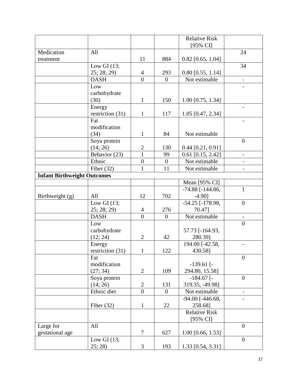|                                    |                    |                |                | <b>Relative Risk</b>   |                          |
|------------------------------------|--------------------|----------------|----------------|------------------------|--------------------------|
|                                    |                    |                |                | [95% CI]               |                          |
| Medication                         | All                |                |                |                        | 24                       |
| treatment                          |                    | 11             | 884            | $0.82$ [0.65, 1.04]    |                          |
|                                    | Low GI $(13;$      |                |                |                        | 34                       |
|                                    | 25; 28; 29)        | $\overline{4}$ | 293            | $0.80$ [0.55, 1.14]    |                          |
|                                    | <b>DASH</b>        | $\theta$       | $\overline{0}$ | Not estimable          |                          |
|                                    | Low                |                |                |                        |                          |
|                                    | carbohydrate       |                |                |                        |                          |
|                                    | (30)               | $\mathbf{1}$   | 150            | $1.00$ [0.75, 1.34]    |                          |
|                                    | Energy             |                |                |                        |                          |
|                                    | restriction $(31)$ | $\mathbf{1}$   | 117            | 1.05 [0.47, 2.34]      |                          |
|                                    | Fat                |                |                |                        |                          |
|                                    | modification       |                |                |                        |                          |
|                                    | (34)               | $\mathbf{1}$   | 84             | Not estimable          |                          |
|                                    | Soya protein       |                |                |                        | $\overline{0}$           |
|                                    | (14; 26)           | $\overline{2}$ | 130            | $0.44$ [0.21, 0.91]    |                          |
|                                    | Behavior (23)      | 1              | 99             | $0.61$ [0.15, 2.42]    | $\overline{\phantom{a}}$ |
|                                    | Ethnic             | $\overline{0}$ | $\overline{0}$ | Not estimable          |                          |
|                                    | Fiber $(32)$       | $\mathbf{1}$   | 11             | Not estimable          | $\overline{\phantom{0}}$ |
| <b>Infant Birthweight Outcomes</b> |                    |                |                |                        |                          |
|                                    |                    |                |                | Mean [95% CI]          |                          |
|                                    |                    |                |                | $-74.88$ [ $-144.86$ , | $\mathbf{1}$             |
| Birthweight (g)                    | All                | 12             | 702            | $-4.90$ ]              |                          |
|                                    | Low GI $(13;$      |                |                | $-54.25$ [ $-178.98$ , | $\overline{0}$           |
|                                    | 25; 28; 29)        | $\overline{4}$ | 276            | 70.47]                 |                          |
|                                    | <b>DASH</b>        | $\theta$       | $\overline{0}$ | Not estimable          | $\overline{\phantom{a}}$ |
|                                    | Low                |                |                |                        | $\overline{0}$           |
|                                    | carbohydrate       |                |                | 57.73 [-164.93,        |                          |
|                                    | (12; 24)           | $\overline{2}$ | 42             | 280.39]                |                          |
|                                    | Energy             |                |                | 194.00 [-42.58,        |                          |
|                                    | restriction $(31)$ | 1              | 122            | 430.58]                |                          |
|                                    | Fat                |                |                |                        | $\overline{0}$           |
|                                    | modification       |                |                | $-139.61$ [-           |                          |
|                                    | (27; 34)           | $\overline{2}$ | 109            | 294.80, 15.58]         |                          |
|                                    | Soya protein       |                |                | $-184.67$ [-           | $\overline{0}$           |
|                                    | (14; 26)           | $\overline{2}$ | 131            | 319.35, -49.98]        |                          |
|                                    | Ethnic diet        | $\overline{0}$ | $\theta$       | Not estimable          | $\overline{\phantom{a}}$ |
|                                    |                    |                |                | $-94.00$ [ $-446.68$ , |                          |
|                                    | Fiber $(32)$       | $\mathbf{1}$   | 22             | 258.68]                |                          |
|                                    |                    |                |                | <b>Relative Risk</b>   |                          |
|                                    |                    |                |                | [95% CI]               |                          |
| Large for                          | All                |                |                |                        | $\theta$                 |
| gestational age                    |                    | 7              | 627            | $1.00$ [0.66, 1.53]    |                          |
|                                    | Low GI $(13;$      |                |                |                        | $\overline{0}$           |
|                                    | 25; 28)            | 3              | 193            | 1.33 [0.54, 3.31]      |                          |